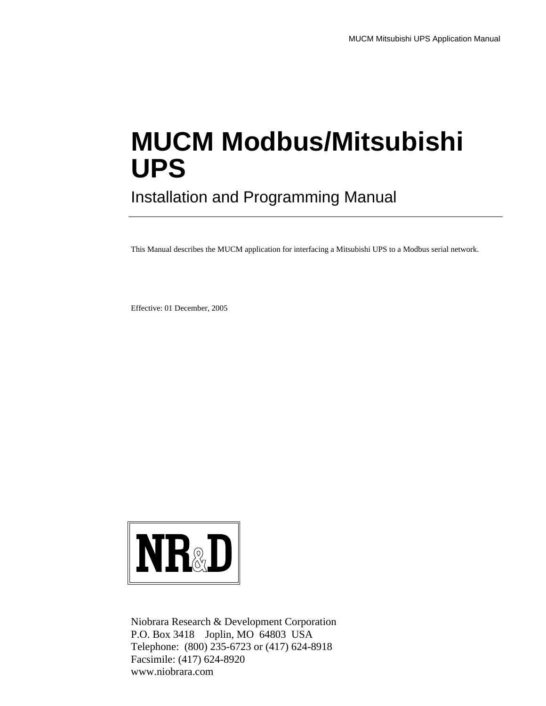## **MUCM Modbus/Mitsubishi UPS**

Installation and Programming Manual

This Manual describes the MUCM application for interfacing a Mitsubishi UPS to a Modbus serial network.

Effective: 01 December, 2005



Niobrara Research & Development Corporation P.O. Box 3418 Joplin, MO 64803 USA Telephone: (800) 235-6723 or (417) 624-8918 Facsimile: (417) 624-8920 www.niobrara.com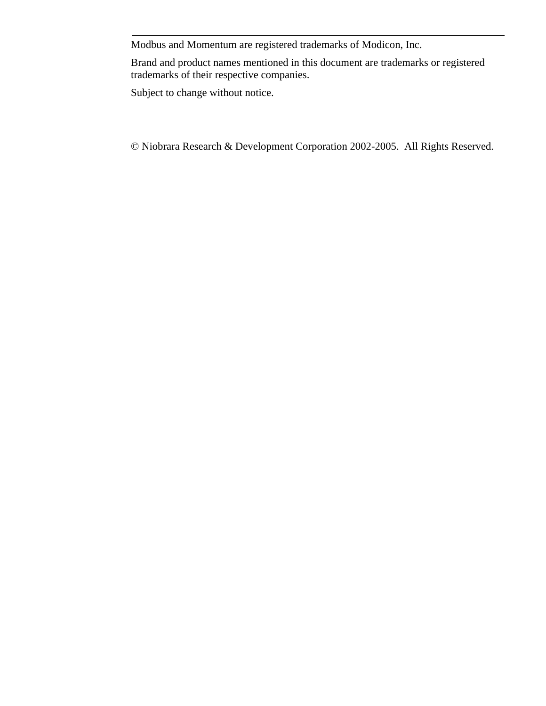Modbus and Momentum are registered trademarks of Modicon, Inc.

Brand and product names mentioned in this document are trademarks or registered trademarks of their respective companies.

Subject to change without notice.

© Niobrara Research & Development Corporation 2002-2005. All Rights Reserved.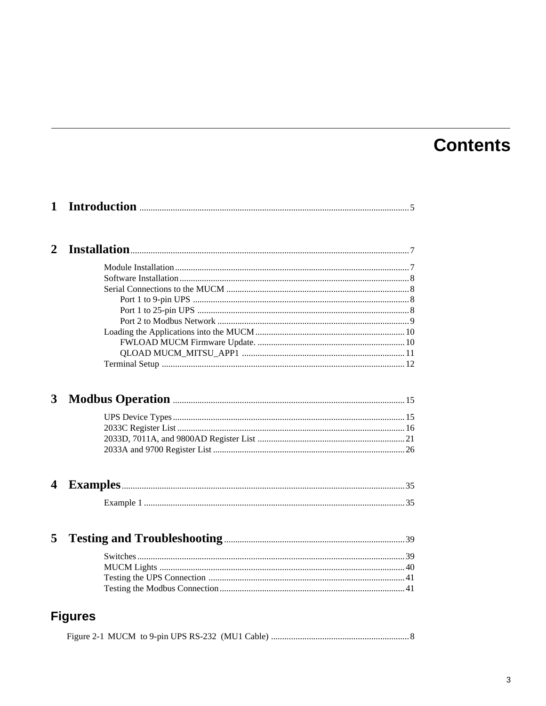### **Contents**

| $\mathbf{1}$     |                |
|------------------|----------------|
| 2                |                |
|                  |                |
|                  |                |
|                  |                |
|                  |                |
|                  |                |
|                  |                |
|                  |                |
|                  |                |
|                  |                |
|                  |                |
| 3                |                |
|                  |                |
|                  |                |
|                  |                |
|                  |                |
| $\boldsymbol{4}$ |                |
|                  |                |
|                  |                |
| 5                |                |
|                  |                |
|                  |                |
|                  |                |
|                  |                |
|                  | <b>Figures</b> |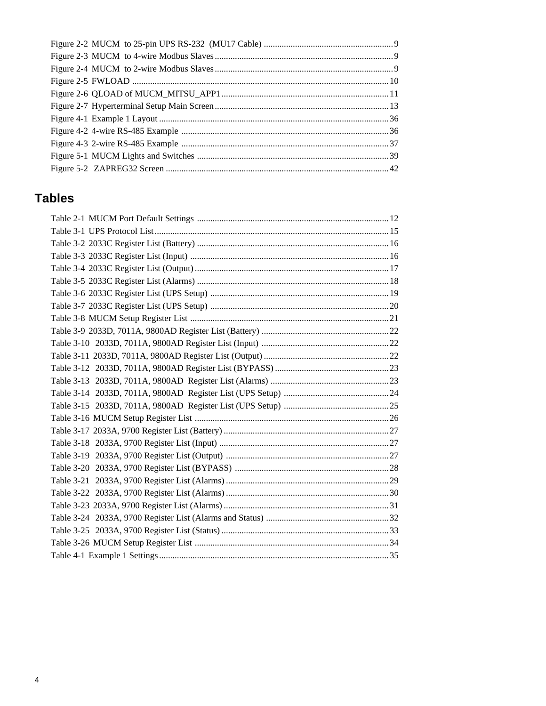### **Tables**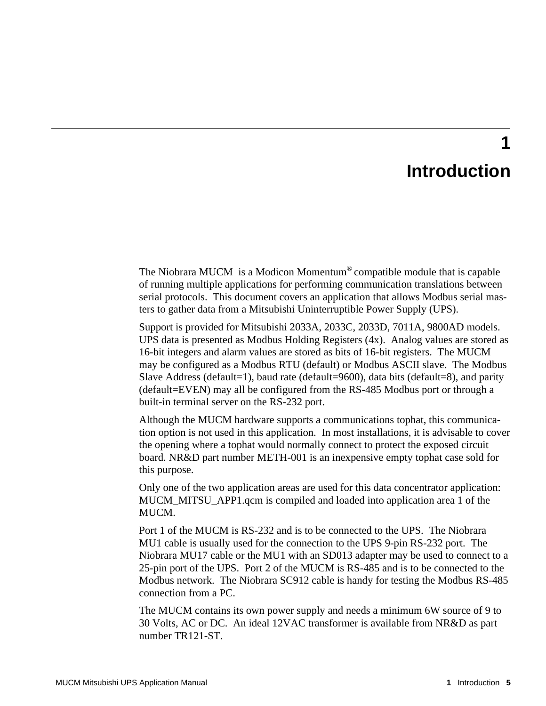## **Introduction**

**1**

The Niobrara MUCM is a Modicon Momentum® compatible module that is capable of running multiple applications for performing communication translations between serial protocols. This document covers an application that allows Modbus serial masters to gather data from a Mitsubishi Uninterruptible Power Supply (UPS).

Support is provided for Mitsubishi 2033A, 2033C, 2033D, 7011A, 9800AD models. UPS data is presented as Modbus Holding Registers (4x). Analog values are stored as 16-bit integers and alarm values are stored as bits of 16-bit registers. The MUCM may be configured as a Modbus RTU (default) or Modbus ASCII slave. The Modbus Slave Address (default=1), baud rate (default=9600), data bits (default=8), and parity (default=EVEN) may all be configured from the RS-485 Modbus port or through a built-in terminal server on the RS-232 port.

Although the MUCM hardware supports a communications tophat, this communication option is not used in this application. In most installations, it is advisable to cover the opening where a tophat would normally connect to protect the exposed circuit board. NR&D part number METH-001 is an inexpensive empty tophat case sold for this purpose.

Only one of the two application areas are used for this data concentrator application: MUCM\_MITSU\_APP1.qcm is compiled and loaded into application area 1 of the MUCM.

Port 1 of the MUCM is RS-232 and is to be connected to the UPS. The Niobrara MU1 cable is usually used for the connection to the UPS 9-pin RS-232 port. The Niobrara MU17 cable or the MU1 with an SD013 adapter may be used to connect to a 25-pin port of the UPS. Port 2 of the MUCM is RS-485 and is to be connected to the Modbus network. The Niobrara SC912 cable is handy for testing the Modbus RS-485 connection from a PC.

The MUCM contains its own power supply and needs a minimum 6W source of 9 to 30 Volts, AC or DC. An ideal 12VAC transformer is available from NR&D as part number TR121-ST.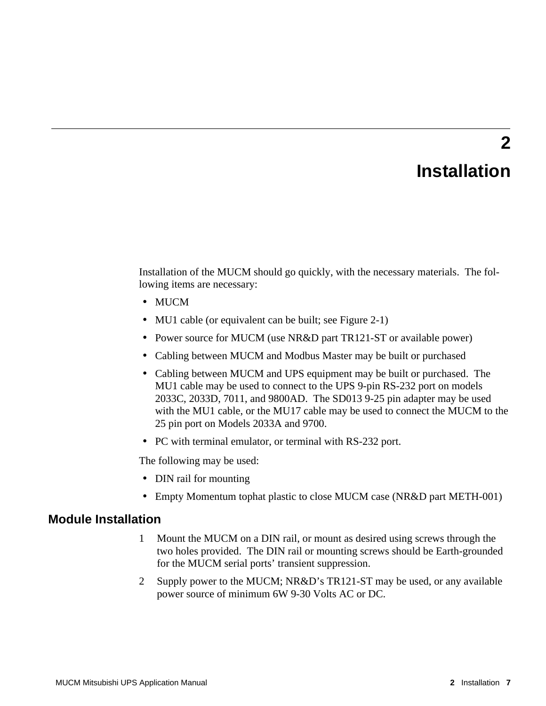# **Installation**

**2**

Installation of the MUCM should go quickly, with the necessary materials. The following items are necessary:

- MUCM
- MU1 cable (or equivalent can be built; see Figure 2-1)
- Power source for MUCM (use NR&D part TR121-ST or available power)
- Cabling between MUCM and Modbus Master may be built or purchased
- Cabling between MUCM and UPS equipment may be built or purchased. The MU1 cable may be used to connect to the UPS 9-pin RS-232 port on models 2033C, 2033D, 7011, and 9800AD. The SD013 9-25 pin adapter may be used with the MU1 cable, or the MU17 cable may be used to connect the MUCM to the 25 pin port on Models 2033A and 9700.
- PC with terminal emulator, or terminal with RS-232 port.

The following may be used:

- DIN rail for mounting
- Empty Momentum tophat plastic to close MUCM case (NR&D part METH-001)

### **Module Installation**

- 1 Mount the MUCM on a DIN rail, or mount as desired using screws through the two holes provided. The DIN rail or mounting screws should be Earth-grounded for the MUCM serial ports' transient suppression.
- 2 Supply power to the MUCM; NR&D's TR121-ST may be used, or any available power source of minimum 6W 9-30 Volts AC or DC.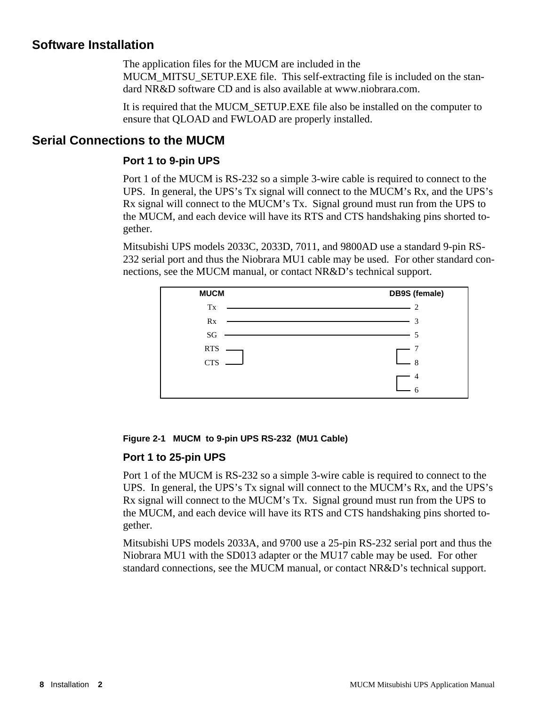### **Software Installation**

The application files for the MUCM are included in the MUCM\_MITSU\_SETUP.EXE file. This self-extracting file is included on the standard NR&D software CD and is also available at www.niobrara.com.

It is required that the MUCM\_SETUP.EXE file also be installed on the computer to ensure that QLOAD and FWLOAD are properly installed.

### **Serial Connections to the MUCM**

### **Port 1 to 9-pin UPS**

Port 1 of the MUCM is RS-232 so a simple 3-wire cable is required to connect to the UPS. In general, the UPS's Tx signal will connect to the MUCM's Rx, and the UPS's Rx signal will connect to the MUCM's Tx. Signal ground must run from the UPS to the MUCM, and each device will have its RTS and CTS handshaking pins shorted together.

Mitsubishi UPS models 2033C, 2033D, 7011, and 9800AD use a standard 9-pin RS-232 serial port and thus the Niobrara MU1 cable may be used. For other standard connections, see the MUCM manual, or contact NR&D's technical support.



### **Figure 2-1 MUCM to 9-pin UPS RS-232 (MU1 Cable)**

### **Port 1 to 25-pin UPS**

Port 1 of the MUCM is RS-232 so a simple 3-wire cable is required to connect to the UPS. In general, the UPS's Tx signal will connect to the MUCM's Rx, and the UPS's Rx signal will connect to the MUCM's Tx. Signal ground must run from the UPS to the MUCM, and each device will have its RTS and CTS handshaking pins shorted together.

Mitsubishi UPS models 2033A, and 9700 use a 25-pin RS-232 serial port and thus the Niobrara MU1 with the SD013 adapter or the MU17 cable may be used. For other standard connections, see the MUCM manual, or contact NR&D's technical support.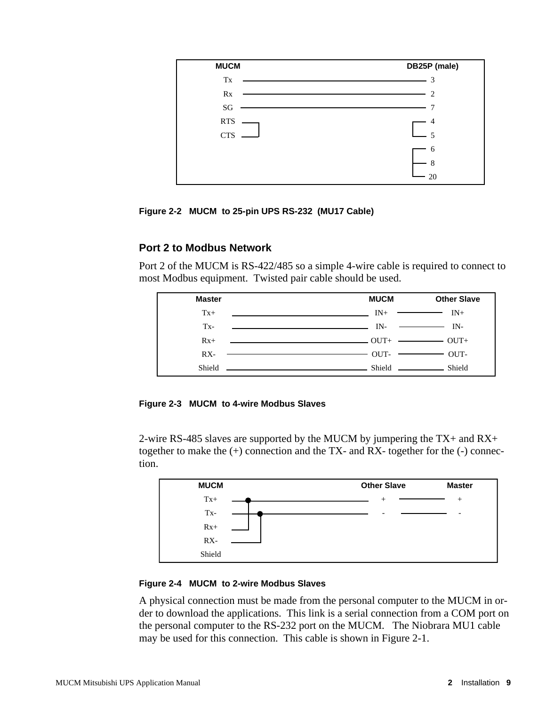

**Figure 2-2 MUCM to 25-pin UPS RS-232 (MU17 Cable)**

### **Port 2 to Modbus Network**

Port 2 of the MUCM is RS-422/485 so a simple 4-wire cable is required to connect to most Modbus equipment. Twisted pair cable should be used.



**Figure 2-3 MUCM to 4-wire Modbus Slaves**

2-wire RS-485 slaves are supported by the MUCM by jumpering the TX+ and RX+ together to make the  $(+)$  connection and the TX- and RX- together for the  $(-)$  connection.



### **Figure 2-4 MUCM to 2-wire Modbus Slaves**

A physical connection must be made from the personal computer to the MUCM in order to download the applications. This link is a serial connection from a COM port on the personal computer to the RS-232 port on the MUCM. The Niobrara MU1 cable may be used for this connection. This cable is shown in Figure 2-1.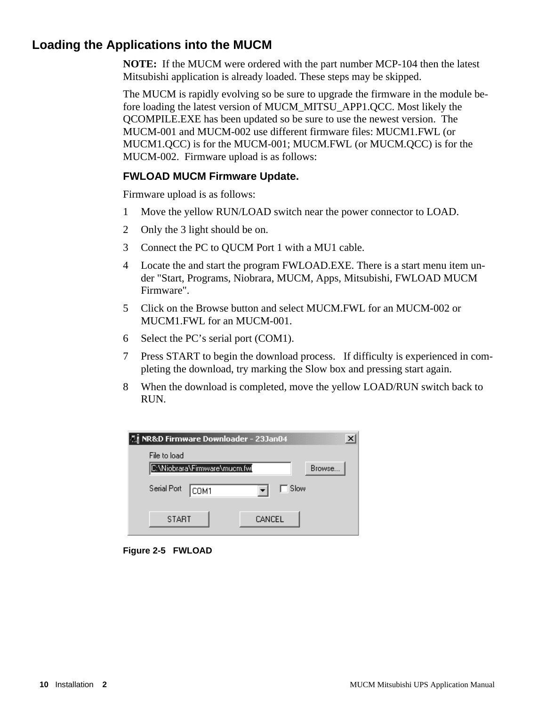### **Loading the Applications into the MUCM**

**NOTE:** If the MUCM were ordered with the part number MCP-104 then the latest Mitsubishi application is already loaded. These steps may be skipped.

The MUCM is rapidly evolving so be sure to upgrade the firmware in the module before loading the latest version of MUCM\_MITSU\_APP1.QCC. Most likely the QCOMPILE.EXE has been updated so be sure to use the newest version. The MUCM-001 and MUCM-002 use different firmware files: MUCM1.FWL (or MUCM1.QCC) is for the MUCM-001; MUCM.FWL (or MUCM.QCC) is for the MUCM-002. Firmware upload is as follows:

### **FWLOAD MUCM Firmware Update.**

Firmware upload is as follows:

- 1 Move the yellow RUN/LOAD switch near the power connector to LOAD.
- 2 Only the 3 light should be on.
- 3 Connect the PC to QUCM Port 1 with a MU1 cable.
- 4 Locate the and start the program FWLOAD.EXE. There is a start menu item under "Start, Programs, Niobrara, MUCM, Apps, Mitsubishi, FWLOAD MUCM Firmware".
- 5 Click on the Browse button and select MUCM.FWL for an MUCM-002 or MUCM1.FWL for an MUCM-001.
- 6 Select the PC's serial port (COM1).
- 7 Press START to begin the download process. If difficulty is experienced in completing the download, try marking the Slow box and pressing start again.
- 8 When the download is completed, move the yellow LOAD/RUN switch back to RUN.



**Figure 2-5 FWLOAD**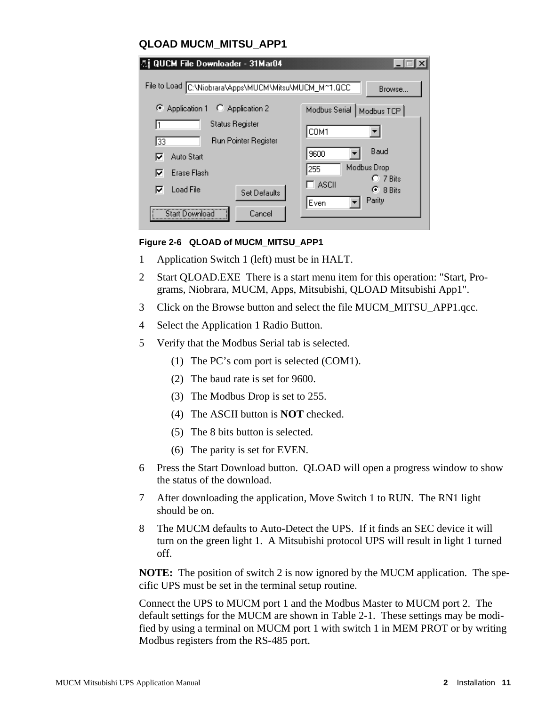| QLOAD MUCM MITSU APP1                                 |                                      |  |
|-------------------------------------------------------|--------------------------------------|--|
| 2』QUCM File Downloader - 31Mar04                      |                                      |  |
| File to Load C:\Niobrara\Apps\MUCM\Mitsu\MUCM_M^1.QCC | Browse                               |  |
| C Application 1 C Application 2                       | Modbus Serial   Modbus TCP           |  |
| Status Register                                       | COM1                                 |  |
| Run Pointer Register<br>133                           |                                      |  |
| Auto Start<br>⊽                                       | Baud<br>9600                         |  |
| Erase Flash<br>⊽                                      | Modbus Drop<br>255<br>$C$ 7 Bits     |  |
| Load File<br>☞<br>Set Defaults                        | ASCII<br>$\epsilon$ 8 Bits<br>Parity |  |
| Start Download<br>Cancel                              | Even                                 |  |

### **Figure 2-6 QLOAD of MUCM\_MITSU\_APP1**

- 1 Application Switch 1 (left) must be in HALT.
- 2 Start QLOAD.EXE There is a start menu item for this operation: "Start, Programs, Niobrara, MUCM, Apps, Mitsubishi, QLOAD Mitsubishi App1".
- 3 Click on the Browse button and select the file MUCM\_MITSU\_APP1.qcc.
- 4 Select the Application 1 Radio Button.
- 5 Verify that the Modbus Serial tab is selected.
	- (1) The PC's com port is selected (COM1).
	- (2) The baud rate is set for 9600.
	- (3) The Modbus Drop is set to 255.
	- (4) The ASCII button is **NOT** checked.
	- (5) The 8 bits button is selected.
	- (6) The parity is set for EVEN.
- 6 Press the Start Download button. QLOAD will open a progress window to show the status of the download.
- 7 After downloading the application, Move Switch 1 to RUN. The RN1 light should be on.
- 8 The MUCM defaults to Auto-Detect the UPS. If it finds an SEC device it will turn on the green light 1. A Mitsubishi protocol UPS will result in light 1 turned off.

**NOTE:** The position of switch 2 is now ignored by the MUCM application. The specific UPS must be set in the terminal setup routine.

Connect the UPS to MUCM port 1 and the Modbus Master to MUCM port 2. The default settings for the MUCM are shown in Table 2-1. These settings may be modified by using a terminal on MUCM port 1 with switch 1 in MEM PROT or by writing Modbus registers from the RS-485 port.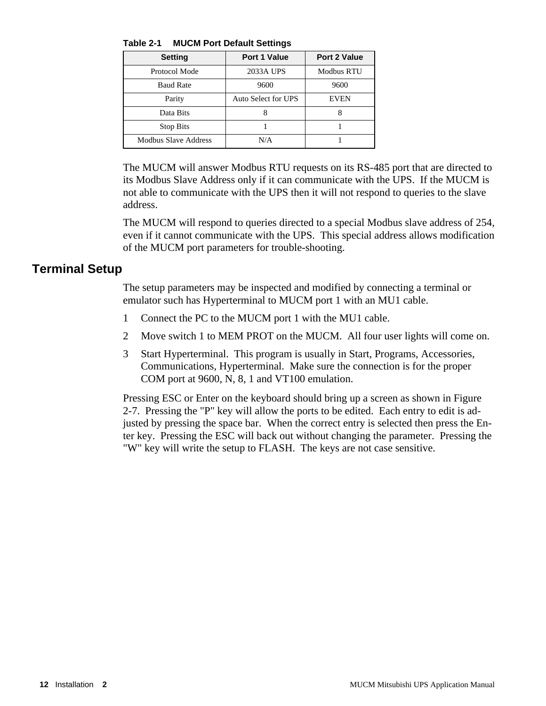**Table 2-1 MUCM Port Default Settings**

| <b>Setting</b>       | <b>Port 1 Value</b> | <b>Port 2 Value</b> |
|----------------------|---------------------|---------------------|
| Protocol Mode        | 2033A UPS           | <b>Modbus RTU</b>   |
| <b>Baud Rate</b>     | 9600                | 9600                |
| Parity               | Auto Select for UPS | <b>EVEN</b>         |
| Data Bits            |                     | x                   |
| <b>Stop Bits</b>     |                     |                     |
| Modbus Slave Address | N/A                 |                     |

The MUCM will answer Modbus RTU requests on its RS-485 port that are directed to its Modbus Slave Address only if it can communicate with the UPS. If the MUCM is not able to communicate with the UPS then it will not respond to queries to the slave address.

The MUCM will respond to queries directed to a special Modbus slave address of 254, even if it cannot communicate with the UPS. This special address allows modification of the MUCM port parameters for trouble-shooting.

### **Terminal Setup**

The setup parameters may be inspected and modified by connecting a terminal or emulator such has Hyperterminal to MUCM port 1 with an MU1 cable.

- 1 Connect the PC to the MUCM port 1 with the MU1 cable.
- 2 Move switch 1 to MEM PROT on the MUCM. All four user lights will come on.
- 3 Start Hyperterminal. This program is usually in Start, Programs, Accessories, Communications, Hyperterminal. Make sure the connection is for the proper COM port at 9600, N, 8, 1 and VT100 emulation.

Pressing ESC or Enter on the keyboard should bring up a screen as shown in Figure 2-7. Pressing the "P" key will allow the ports to be edited. Each entry to edit is adjusted by pressing the space bar. When the correct entry is selected then press the Enter key. Pressing the ESC will back out without changing the parameter. Pressing the "W" key will write the setup to FLASH. The keys are not case sensitive.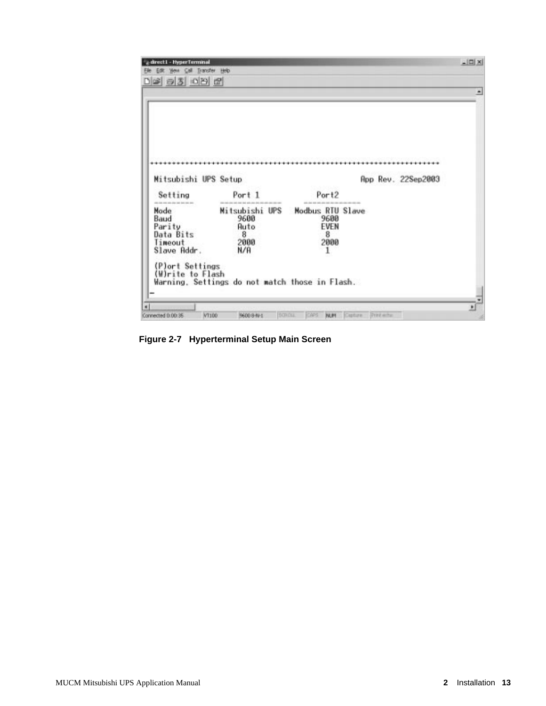| -direct1 - HyperTerminal<br>Edit You Call Transfer Help |                                                |                   |                             | $-10X$ |
|---------------------------------------------------------|------------------------------------------------|-------------------|-----------------------------|--------|
| $D = 3 00 0$                                            |                                                |                   |                             |        |
|                                                         |                                                |                   |                             |        |
|                                                         |                                                |                   |                             |        |
|                                                         |                                                |                   |                             |        |
|                                                         |                                                |                   |                             |        |
|                                                         |                                                |                   |                             |        |
|                                                         |                                                |                   |                             |        |
| Mitsubishi UPS Setup                                    |                                                |                   | App Rev. 22Sep2003          |        |
| Setting                                                 | Port 1                                         | Port <sub>2</sub> |                             |        |
| the first year and also has been then seen<br>Mode      | Mitsubishi UPS                                 | Modbus RTU Slave  |                             |        |
| Baud<br>Parity                                          | 9600<br>Auto                                   | 9600<br>EVEN      |                             |        |
| Data Bits                                               | 8                                              | 8                 |                             |        |
| Timeout                                                 | 2000                                           | 2000              |                             |        |
| Slave Addr.                                             | N/A                                            | $\mathbf{I}$      |                             |        |
| (P)ort Settings                                         |                                                |                   |                             |        |
| (W)rite to Flash                                        |                                                |                   |                             |        |
|                                                         | Warning, Settings do not match those in Flash. |                   |                             |        |
|                                                         |                                                |                   |                             |        |
|                                                         |                                                |                   |                             |        |
| Connected 0.00:35<br>WT100                              | SOROU<br>9600 8 NH                             | caps<br>NUM       | Capture<br><b>President</b> |        |

**Figure 2-7 Hyperterminal Setup Main Screen**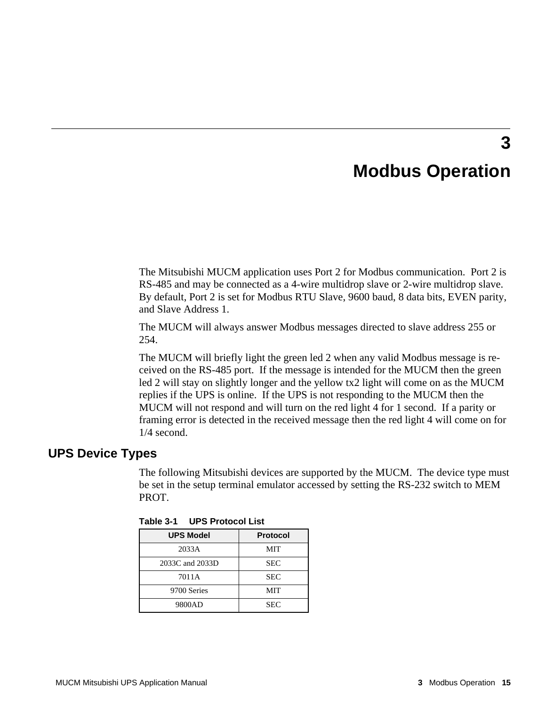### **Modbus Operation**

**3**

The Mitsubishi MUCM application uses Port 2 for Modbus communication. Port 2 is RS-485 and may be connected as a 4-wire multidrop slave or 2-wire multidrop slave. By default, Port 2 is set for Modbus RTU Slave, 9600 baud, 8 data bits, EVEN parity, and Slave Address 1.

The MUCM will always answer Modbus messages directed to slave address 255 or 254.

The MUCM will briefly light the green led 2 when any valid Modbus message is received on the RS-485 port. If the message is intended for the MUCM then the green led 2 will stay on slightly longer and the yellow tx2 light will come on as the MUCM replies if the UPS is online. If the UPS is not responding to the MUCM then the MUCM will not respond and will turn on the red light 4 for 1 second. If a parity or framing error is detected in the received message then the red light 4 will come on for 1/4 second.

### **UPS Device Types**

The following Mitsubishi devices are supported by the MUCM. The device type must be set in the setup terminal emulator accessed by setting the RS-232 switch to MEM PROT.

| <b>UPS Model</b> | <b>Protocol</b> |
|------------------|-----------------|
| 2033A            | MIT             |
| 2033C and 2033D  | <b>SEC</b>      |
| 7011A            | <b>SEC</b>      |
| 9700 Series      | MIT             |
| 9800AD           | <b>SEC</b>      |

**Table 3-1 UPS Protocol List**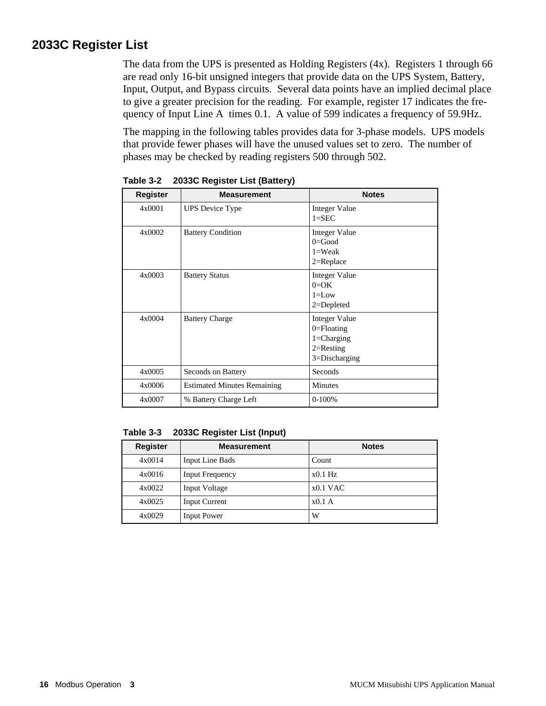### **2033C Register List**

The data from the UPS is presented as Holding Registers (4x). Registers 1 through 66 are read only 16-bit unsigned integers that provide data on the UPS System, Battery, Input, Output, and Bypass circuits. Several data points have an implied decimal place to give a greater precision for the reading. For example, register 17 indicates the frequency of Input Line A times 0.1. A value of 599 indicates a frequency of 59.9Hz.

The mapping in the following tables provides data for 3-phase models. UPS models that provide fewer phases will have the unused values set to zero. The number of phases may be checked by reading registers 500 through 502.

| <b>Register</b> | <b>Measurement</b>                 | <b>Notes</b>                                                                                  |
|-----------------|------------------------------------|-----------------------------------------------------------------------------------------------|
| 4x0001          | <b>UPS</b> Device Type             | <b>Integer Value</b><br>$1 =$ SEC                                                             |
| 4x0002          | <b>Battery Condition</b>           | <b>Integer Value</b><br>$0=$ Good<br>$1=Weak$<br>$2 = Replace$                                |
| 4x0003          | <b>Battery Status</b>              | <b>Integer Value</b><br>$0=OK$<br>$1 = Low$<br>$2 =$ Depleted                                 |
| 4x0004          | <b>Battery Charge</b>              | <b>Integer Value</b><br>$0 =$ Floating<br>$1 = Charging$<br>$2=$ Resting<br>$3 = Discharging$ |
| 4x0005          | Seconds on Battery                 | Seconds                                                                                       |
| 4x0006          | <b>Estimated Minutes Remaining</b> | <b>Minutes</b>                                                                                |
| 4x0007          | % Battery Charge Left              | $0-100%$                                                                                      |

**Table 3-2 2033C Register List (Battery)**

**Table 3-3 2033C Register List (Input)**

| <b>Register</b> | <b>Measurement</b>     | <b>Notes</b> |
|-----------------|------------------------|--------------|
| 4x0014          | Input Line Bads        | Count        |
| 4x0016          | <b>Input Frequency</b> | $x0.1$ Hz    |
| 4x0022          | Input Voltage          | $x0.1$ VAC   |
| 4x0025          | <b>Input Current</b>   | x0.1A        |
| 4x0029          | <b>Input Power</b>     | W            |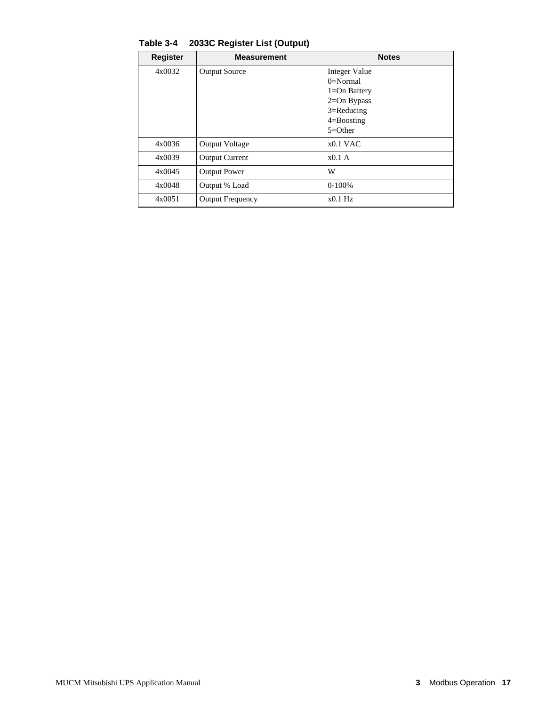| <b>Register</b> | <b>Measurement</b>      | <b>Notes</b>         |
|-----------------|-------------------------|----------------------|
| 4x0032          | <b>Output Source</b>    | <b>Integer Value</b> |
|                 |                         | $0=Normal$           |
|                 |                         | $1 = On$ Battery     |
|                 |                         | $2=On Bypass$        |
|                 |                         | $3 =$ Reducing       |
|                 |                         | $4 =$ Boosting       |
|                 |                         | $5=Other$            |
| 4x0036          | <b>Output Voltage</b>   | $x0.1$ VAC           |
| 4x0039          | <b>Output Current</b>   | x0.1A                |
| 4x0045          | <b>Output Power</b>     | W                    |
| 4x0048          | Output % Load           | $0-100%$             |
| 4x0051          | <b>Output Frequency</b> | $x0.1$ Hz            |

**Table 3-4 2033C Register List (Output)**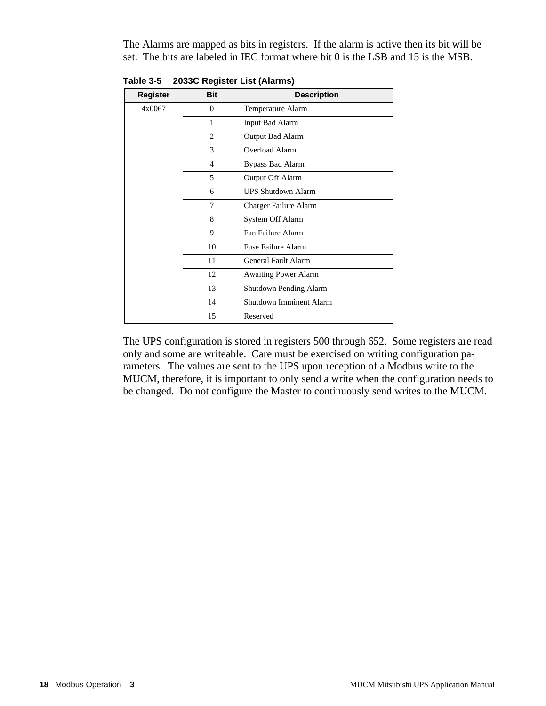The Alarms are mapped as bits in registers. If the alarm is active then its bit will be set. The bits are labeled in IEC format where bit 0 is the LSB and 15 is the MSB.

| <b>Register</b> | <b>Bit</b>     | <b>Description</b>          |
|-----------------|----------------|-----------------------------|
| 4x0067          | $\theta$       | Temperature Alarm           |
|                 | 1              | <b>Input Bad Alarm</b>      |
|                 | 2              | Output Bad Alarm            |
|                 | 3              | Overload Alarm              |
|                 | $\overline{4}$ | <b>Bypass Bad Alarm</b>     |
|                 | 5              | Output Off Alarm            |
|                 | 6              | <b>UPS Shutdown Alarm</b>   |
|                 | 7              | Charger Failure Alarm       |
|                 | 8              | System Off Alarm            |
|                 | 9              | Fan Failure Alarm           |
|                 | 10             | Fuse Failure Alarm          |
|                 | 11             | General Fault Alarm         |
|                 | 12             | <b>Awaiting Power Alarm</b> |
|                 | 13             | Shutdown Pending Alarm      |
|                 | 14             | Shutdown Imminent Alarm     |
|                 | 15             | Reserved                    |

**Table 3-5 2033C Register List (Alarms)**

The UPS configuration is stored in registers 500 through 652. Some registers are read only and some are writeable. Care must be exercised on writing configuration parameters. The values are sent to the UPS upon reception of a Modbus write to the MUCM, therefore, it is important to only send a write when the configuration needs to be changed. Do not configure the Master to continuously send writes to the MUCM.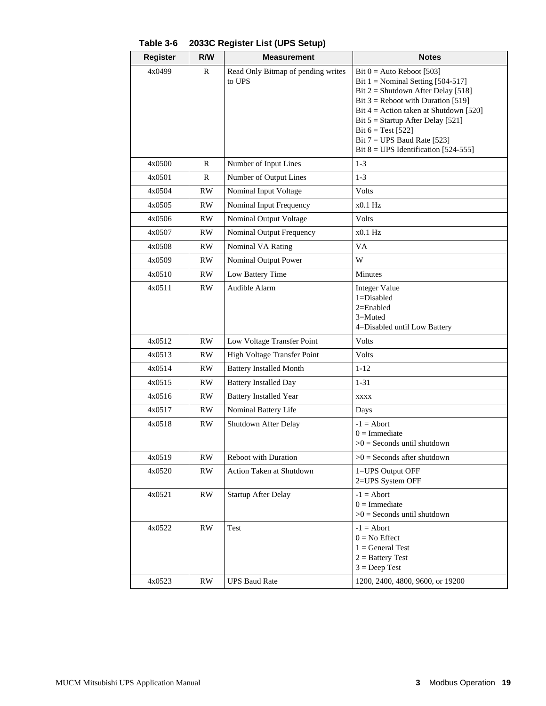| <b>Register</b> | R/W          | <b>Measurement</b>                           | <b>Notes</b>                                                                                                                                                                                                                                                                                                                             |
|-----------------|--------------|----------------------------------------------|------------------------------------------------------------------------------------------------------------------------------------------------------------------------------------------------------------------------------------------------------------------------------------------------------------------------------------------|
| 4x0499          | R            | Read Only Bitmap of pending writes<br>to UPS | Bit $0 =$ Auto Reboot [503]<br>Bit $1 =$ Nominal Setting [504-517]<br>Bit $2 =$ Shutdown After Delay [518]<br>Bit $3$ = Reboot with Duration [519]<br>Bit $4 =$ Action taken at Shutdown [520]<br>Bit $5 =$ Startup After Delay [521]<br>Bit $6 = Test [522]$<br>Bit $7 = UPS$ Baud Rate [523]<br>Bit $8 = UPS$ Identification [524-555] |
| 4x0500          | $\mathbb{R}$ | Number of Input Lines                        | $1-3$                                                                                                                                                                                                                                                                                                                                    |
| 4x0501          | R            | Number of Output Lines                       | $1 - 3$                                                                                                                                                                                                                                                                                                                                  |
| 4x0504          | <b>RW</b>    | Nominal Input Voltage                        | Volts                                                                                                                                                                                                                                                                                                                                    |
| 4x0505          | RW           | Nominal Input Frequency                      | $x0.1$ Hz                                                                                                                                                                                                                                                                                                                                |
| 4x0506          | RW.          | Nominal Output Voltage                       | Volts                                                                                                                                                                                                                                                                                                                                    |
| 4x0507          | <b>RW</b>    | Nominal Output Frequency                     | $x0.1$ Hz                                                                                                                                                                                                                                                                                                                                |
| 4x0508          | <b>RW</b>    | Nominal VA Rating                            | VA                                                                                                                                                                                                                                                                                                                                       |
| 4x0509          | RW           | Nominal Output Power                         | W                                                                                                                                                                                                                                                                                                                                        |
| 4x0510          | <b>RW</b>    | Low Battery Time                             | Minutes                                                                                                                                                                                                                                                                                                                                  |
| 4x0511          | RW.          | Audible Alarm                                | <b>Integer Value</b><br>$1 = Disabled$<br>2=Enabled<br>$3 =$ Muted<br>4=Disabled until Low Battery                                                                                                                                                                                                                                       |
| 4x0512          | <b>RW</b>    | Low Voltage Transfer Point                   | Volts                                                                                                                                                                                                                                                                                                                                    |
| 4x0513          | <b>RW</b>    | High Voltage Transfer Point                  | Volts                                                                                                                                                                                                                                                                                                                                    |
| 4x0514          | <b>RW</b>    | <b>Battery Installed Month</b>               | $1 - 12$                                                                                                                                                                                                                                                                                                                                 |
| 4x0515          | <b>RW</b>    | <b>Battery Installed Day</b>                 | $1 - 31$                                                                                                                                                                                                                                                                                                                                 |
| 4x0516          | <b>RW</b>    | <b>Battery Installed Year</b>                | XXXX                                                                                                                                                                                                                                                                                                                                     |
| 4x0517          | RW           | Nominal Battery Life                         | Days                                                                                                                                                                                                                                                                                                                                     |
| 4x0518          | <b>RW</b>    | Shutdown After Delay                         | $-1 =$ Abort<br>$0 =$ Immediate<br>$>0$ = Seconds until shutdown                                                                                                                                                                                                                                                                         |
| 4x0519          | <b>RW</b>    | Reboot with Duration                         | $>0$ = Seconds after shutdown                                                                                                                                                                                                                                                                                                            |
| 4x0520          | <b>RW</b>    | <b>Action Taken at Shutdown</b>              | 1=UPS Output OFF<br>2=UPS System OFF                                                                                                                                                                                                                                                                                                     |
| 4x0521          | RW           | <b>Startup After Delay</b>                   | $-1 =$ Abort<br>$0 =$ Immediate<br>$>0$ = Seconds until shutdown                                                                                                                                                                                                                                                                         |
| 4x0522          | <b>RW</b>    | Test                                         | $-1 =$ Abort<br>$0 = No$ Effect<br>$1 = General Test$<br>$2 =$ Battery Test<br>$3 = Deep Test$                                                                                                                                                                                                                                           |
| 4x0523          | RW           | <b>UPS Baud Rate</b>                         | 1200, 2400, 4800, 9600, or 19200                                                                                                                                                                                                                                                                                                         |

**Table 3-6 2033C Register List (UPS Setup)**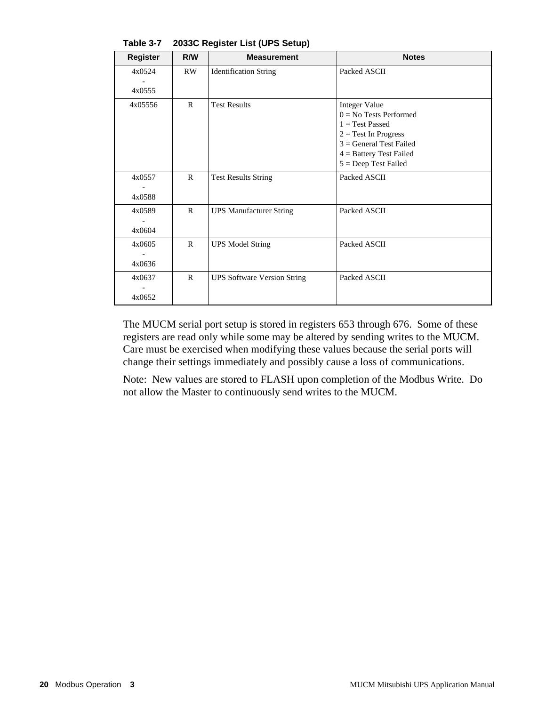| <b>Register</b>  | R/W          | <b>Measurement</b>                 | <b>Notes</b>                                                                                                                                                                        |
|------------------|--------------|------------------------------------|-------------------------------------------------------------------------------------------------------------------------------------------------------------------------------------|
| 4x0524           | <b>RW</b>    | <b>Identification String</b>       | Packed ASCII                                                                                                                                                                        |
| 4x0555           |              |                                    |                                                                                                                                                                                     |
| 4x05556          | $\mathbf{R}$ | <b>Test Results</b>                | <b>Integer Value</b><br>$0 = No$ Tests Performed<br>$1 = Test$ Passed<br>$2 = Test$ In Progress<br>$3 = General Test Failed$<br>$4 =$ Battery Test Failed<br>$5 = Deep Test Failed$ |
| 4x0557<br>4x0588 | $\mathbf{R}$ | <b>Test Results String</b>         | Packed ASCII                                                                                                                                                                        |
| 4x0589<br>4x0604 | $\mathsf{R}$ | <b>UPS Manufacturer String</b>     | Packed ASCII                                                                                                                                                                        |
| 4x0605<br>4x0636 | $\mathbb{R}$ | <b>UPS Model String</b>            | Packed ASCII                                                                                                                                                                        |
| 4x0637<br>4x0652 | $\mathbf{R}$ | <b>UPS Software Version String</b> | Packed ASCII                                                                                                                                                                        |

**Table 3-7 2033C Register List (UPS Setup)**

The MUCM serial port setup is stored in registers 653 through 676. Some of these registers are read only while some may be altered by sending writes to the MUCM. Care must be exercised when modifying these values because the serial ports will change their settings immediately and possibly cause a loss of communications.

Note: New values are stored to FLASH upon completion of the Modbus Write. Do not allow the Master to continuously send writes to the MUCM.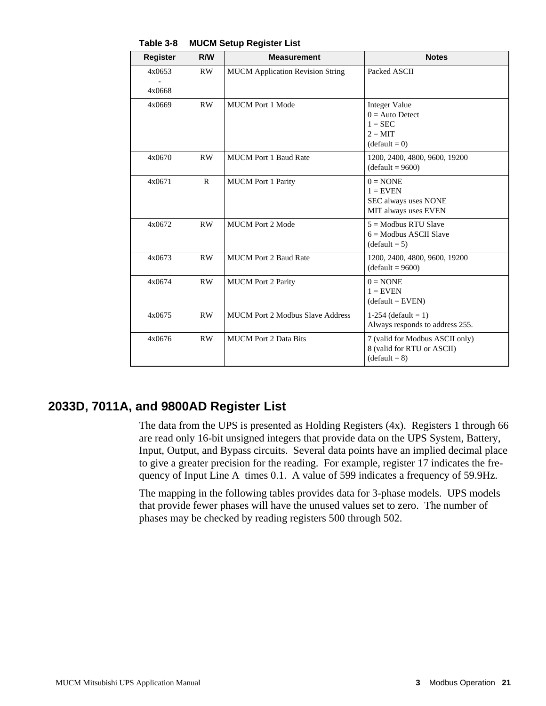| <b>Register</b>  | R/W          | <b>Measurement</b>                      | <b>Notes</b>                                                                                  |
|------------------|--------------|-----------------------------------------|-----------------------------------------------------------------------------------------------|
| 4x0653<br>4x0668 | RW           | <b>MUCM</b> Application Revision String | Packed ASCII                                                                                  |
| 4x0669           | RW           | <b>MUCM</b> Port 1 Mode                 | <b>Integer Value</b><br>$0 =$ Auto Detect<br>$1 = \text{SEC}$<br>$2 = MIT$<br>$(detault = 0)$ |
| 4x0670           | RW           | <b>MUCM Port 1 Baud Rate</b>            | 1200, 2400, 4800, 9600, 19200<br>$(detault = 9600)$                                           |
| 4x0671           | $\mathbb{R}$ | <b>MUCM</b> Port 1 Parity               | $0 = \text{NONE}$<br>$1 =$ EVEN<br>SEC always uses NONE<br>MIT always uses EVEN               |
| 4x0672           | RW           | <b>MUCM Port 2 Mode</b>                 | $5 =$ Modbus RTU Slave<br>$6 =$ Modbus ASCII Slave<br>$(detault = 5)$                         |
| 4x0673           | RW           | <b>MUCM Port 2 Baud Rate</b>            | 1200, 2400, 4800, 9600, 19200<br>$(default = 9600)$                                           |
| 4x0674           | <b>RW</b>    | <b>MUCM</b> Port 2 Parity               | $0 = \text{NONE}$<br>$1 =$ EVEN<br>$(default = EVEN)$                                         |
| 4x0675           | RW           | <b>MUCM Port 2 Modbus Slave Address</b> | 1-254 (default = 1)<br>Always responds to address 255.                                        |
| 4x0676           | <b>RW</b>    | <b>MUCM</b> Port 2 Data Bits            | 7 (valid for Modbus ASCII only)<br>8 (valid for RTU or ASCII)<br>$(default = 8)$              |

**Table 3-8 MUCM Setup Register List**

### **2033D, 7011A, and 9800AD Register List**

The data from the UPS is presented as Holding Registers (4x). Registers 1 through 66 are read only 16-bit unsigned integers that provide data on the UPS System, Battery, Input, Output, and Bypass circuits. Several data points have an implied decimal place to give a greater precision for the reading. For example, register 17 indicates the frequency of Input Line A times 0.1. A value of 599 indicates a frequency of 59.9Hz.

The mapping in the following tables provides data for 3-phase models. UPS models that provide fewer phases will have the unused values set to zero. The number of phases may be checked by reading registers 500 through 502.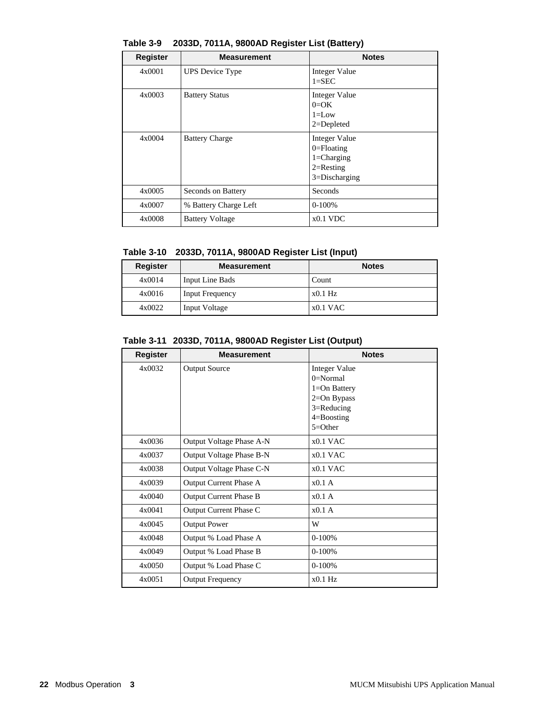| <b>Register</b> | <b>Measurement</b>     | <b>Notes</b>                                                                           |
|-----------------|------------------------|----------------------------------------------------------------------------------------|
| 4x0001          | <b>UPS</b> Device Type | <b>Integer Value</b><br>$1 =$ SEC                                                      |
| 4x0003          | <b>Battery Status</b>  | Integer Value<br>$0=OK$<br>$1 = L$ ow<br>$2 = Depleted$                                |
| 4x0004          | <b>Battery Charge</b>  | Integer Value<br>$0 =$ Floating<br>$1 = Charging$<br>$2=$ Resting<br>$3 = Discharging$ |
| 4x0005          | Seconds on Battery     | Seconds                                                                                |
| 4x0007          | % Battery Charge Left  | $0-100%$                                                                               |
| 4x0008          | <b>Battery Voltage</b> | $x0.1$ VDC                                                                             |

**Table 3-9 2033D, 7011A, 9800AD Register List (Battery)**

|  | Table 3-10 2033D, 7011A, 9800AD Register List (Input) |  |  |  |
|--|-------------------------------------------------------|--|--|--|
|--|-------------------------------------------------------|--|--|--|

| <b>Register</b> | <b>Measurement</b>     | <b>Notes</b> |
|-----------------|------------------------|--------------|
| 4x0014          | Input Line Bads        | Count        |
| 4x0016          | <b>Input Frequency</b> | $x0.1$ Hz    |
| 4x0022          | <b>Input Voltage</b>   | $x0.1$ VAC   |

**Table 3-11 2033D, 7011A, 9800AD Register List (Output)**

| Register | <b>Measurement</b>            | <b>Notes</b>         |
|----------|-------------------------------|----------------------|
| 4x0032   | <b>Output Source</b>          | <b>Integer Value</b> |
|          |                               | $0=Normal$           |
|          |                               | $1 = On$ Battery     |
|          |                               | $2=On Bypass$        |
|          |                               | 3=Reducing           |
|          |                               | $4 =$ Boosting       |
|          |                               | $5 = Other$          |
| 4x0036   | Output Voltage Phase A-N      | $x0.1$ VAC           |
| 4x0037   | Output Voltage Phase B-N      | $x0.1$ VAC           |
| 4x0038   | Output Voltage Phase C-N      | $x0.1$ VAC           |
| 4x0039   | Output Current Phase A        | $x0.1$ A             |
| 4x0040   | <b>Output Current Phase B</b> | $x0.1$ A             |
| 4x0041   | Output Current Phase C        | $x0.1$ A             |
| 4x0045   | <b>Output Power</b>           | W                    |
| 4x0048   | Output % Load Phase A         | $0-100%$             |
| 4x0049   | Output % Load Phase B         | $0-100%$             |
| 4x0050   | Output % Load Phase C         | $0-100%$             |
| 4x0051   | <b>Output Frequency</b>       | $x0.1$ Hz            |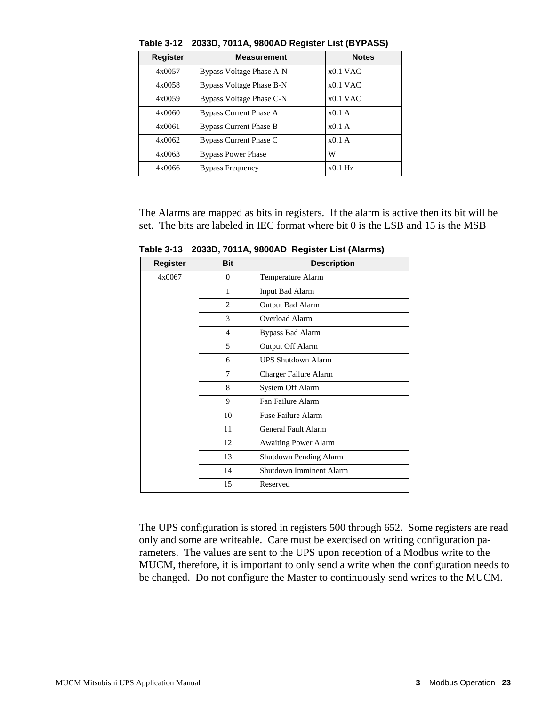| <b>Register</b> | <b>Measurement</b>            | <b>Notes</b> |
|-----------------|-------------------------------|--------------|
| 4x0057          | Bypass Voltage Phase A-N      | $x0.1$ VAC   |
| 4x0058          | Bypass Voltage Phase B-N      | $x0.1$ VAC   |
| 4x0059          | Bypass Voltage Phase C-N      | $x0.1$ VAC   |
| 4x0060          | <b>Bypass Current Phase A</b> | $x0.1$ A     |
| 4x0061          | <b>Bypass Current Phase B</b> | $x0.1$ A     |
| 4x0062          | Bypass Current Phase C        | x0.1A        |
| 4x0063          | <b>Bypass Power Phase</b>     | W            |
| 4x0066          | <b>Bypass Frequency</b>       | $x0.1$ Hz    |

**Table 3-12 2033D, 7011A, 9800AD Register List (BYPASS)**

The Alarms are mapped as bits in registers. If the alarm is active then its bit will be set. The bits are labeled in IEC format where bit 0 is the LSB and 15 is the MSB

**Register Bit Description** 0 Temperature Alarm 1 Input Bad Alarm 2 **Output Bad Alarm** 3 Overload Alarm 4 Bypass Bad Alarm 5 Output Off Alarm 6 UPS Shutdown Alarm 7 Charger Failure Alarm 8 System Off Alarm 9 Fan Failure Alarm 10 Fuse Failure Alarm 11 General Fault Alarm 12 | Awaiting Power Alarm 13 Shutdown Pending Alarm 14 Shutdown Imminent Alarm 4x0067 15 Reserved

**Table 3-13 2033D, 7011A, 9800AD Register List (Alarms)**

The UPS configuration is stored in registers 500 through 652. Some registers are read only and some are writeable. Care must be exercised on writing configuration parameters. The values are sent to the UPS upon reception of a Modbus write to the MUCM, therefore, it is important to only send a write when the configuration needs to be changed. Do not configure the Master to continuously send writes to the MUCM.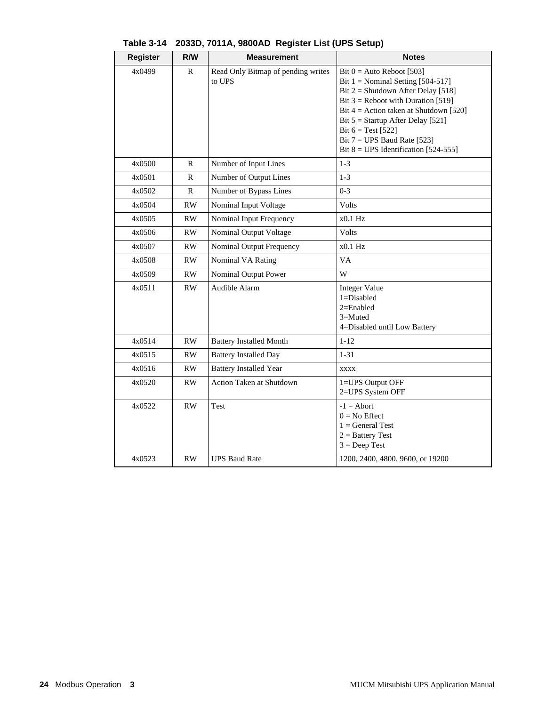| <b>Register</b>  | R/W          | <b>Measurement</b>                           | <b>Notes</b>                                                                                                                                                                                                                                                                                                                             |
|------------------|--------------|----------------------------------------------|------------------------------------------------------------------------------------------------------------------------------------------------------------------------------------------------------------------------------------------------------------------------------------------------------------------------------------------|
| 4x0499           | $\mathbb{R}$ | Read Only Bitmap of pending writes<br>to UPS | Bit $0 =$ Auto Reboot [503]<br>Bit $1 =$ Nominal Setting [504-517]<br>Bit $2 =$ Shutdown After Delay [518]<br>Bit $3$ = Reboot with Duration [519]<br>Bit $4 =$ Action taken at Shutdown [520]<br>Bit $5 =$ Startup After Delay [521]<br>Bit $6 = Test [522]$<br>Bit $7 = UPS$ Baud Rate [523]<br>Bit $8 = UPS$ Identification [524-555] |
| 4x0500           | R            | Number of Input Lines                        | $1 - 3$                                                                                                                                                                                                                                                                                                                                  |
| 4x0501           | R            | Number of Output Lines                       | $1 - 3$                                                                                                                                                                                                                                                                                                                                  |
| 4x0502           | $\mathbb{R}$ | Number of Bypass Lines                       | $0 - 3$                                                                                                                                                                                                                                                                                                                                  |
| 4x0504           | RW           | Nominal Input Voltage                        | <b>Volts</b>                                                                                                                                                                                                                                                                                                                             |
| 4x0505           | RW           | Nominal Input Frequency                      | $x0.1$ Hz                                                                                                                                                                                                                                                                                                                                |
| 4x0506           | RW           | Nominal Output Voltage                       | Volts                                                                                                                                                                                                                                                                                                                                    |
| 4x0507           | <b>RW</b>    | Nominal Output Frequency                     | $x0.1$ Hz                                                                                                                                                                                                                                                                                                                                |
| 4x0508           | <b>RW</b>    | Nominal VA Rating                            | VA                                                                                                                                                                                                                                                                                                                                       |
| 4x0509           | RW.          | Nominal Output Power                         | W                                                                                                                                                                                                                                                                                                                                        |
| 4x0511           | <b>RW</b>    | Audible Alarm                                | <b>Integer Value</b><br>$1 = Disabled$<br>$2=Enabled$<br>$3 =$ Muted<br>4=Disabled until Low Battery                                                                                                                                                                                                                                     |
| 4x0514           | RW           | <b>Battery Installed Month</b>               | $1 - 12$                                                                                                                                                                                                                                                                                                                                 |
| 4x0515           | RW           | <b>Battery Installed Day</b>                 | $1 - 31$                                                                                                                                                                                                                                                                                                                                 |
| 4x0516           | RW           | <b>Battery Installed Year</b>                | <b>XXXX</b>                                                                                                                                                                                                                                                                                                                              |
| 4x0520           | <b>RW</b>    | <b>Action Taken at Shutdown</b>              | 1=UPS Output OFF<br>2=UPS System OFF                                                                                                                                                                                                                                                                                                     |
| 4x0522<br>4x0523 | RW<br>RW     | Test<br><b>UPS Baud Rate</b>                 | $-1 =$ Abort<br>$0 = No$ Effect<br>$1 = General Test$<br>$2 =$ Battery Test<br>$3 = Deep Test$<br>1200, 2400, 4800, 9600, or 19200                                                                                                                                                                                                       |
|                  |              |                                              |                                                                                                                                                                                                                                                                                                                                          |

|  |  | Table 3-14 2033D, 7011A, 9800AD Register List (UPS Setup) |  |
|--|--|-----------------------------------------------------------|--|
|--|--|-----------------------------------------------------------|--|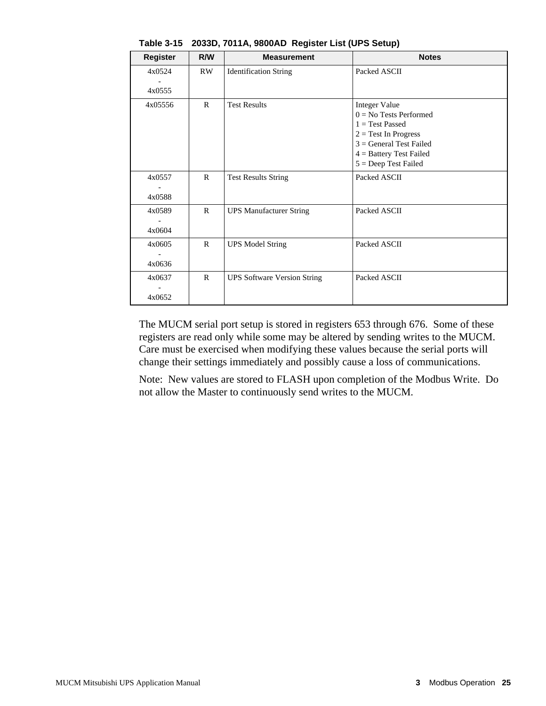| <b>Register</b>  | R/W          | <b>Measurement</b>                 | <b>Notes</b>                                                                                                                                                                        |
|------------------|--------------|------------------------------------|-------------------------------------------------------------------------------------------------------------------------------------------------------------------------------------|
| 4x0524<br>4x0555 | RW           | <b>Identification String</b>       | Packed ASCII                                                                                                                                                                        |
| 4x05556          | $\mathbb{R}$ | <b>Test Results</b>                | <b>Integer Value</b><br>$0 = No$ Tests Performed<br>$1 = Test$ Passed<br>$2 = Test In Progress$<br>$3 = General Test$ Failed<br>$4 =$ Battery Test Failed<br>$5 = Deep Test Failed$ |
| 4x0557<br>4x0588 | $\mathsf{R}$ | <b>Test Results String</b>         | Packed ASCII                                                                                                                                                                        |
| 4x0589<br>4x0604 | $\mathsf{R}$ | <b>UPS Manufacturer String</b>     | Packed ASCII                                                                                                                                                                        |
| 4x0605<br>4x0636 | $\mathbf{R}$ | <b>UPS Model String</b>            | Packed ASCII                                                                                                                                                                        |
| 4x0637<br>4x0652 | $\mathbf{R}$ | <b>UPS Software Version String</b> | Packed ASCII                                                                                                                                                                        |

**Table 3-15 2033D, 7011A, 9800AD Register List (UPS Setup)**

The MUCM serial port setup is stored in registers 653 through 676. Some of these registers are read only while some may be altered by sending writes to the MUCM. Care must be exercised when modifying these values because the serial ports will change their settings immediately and possibly cause a loss of communications.

Note: New values are stored to FLASH upon completion of the Modbus Write. Do not allow the Master to continuously send writes to the MUCM.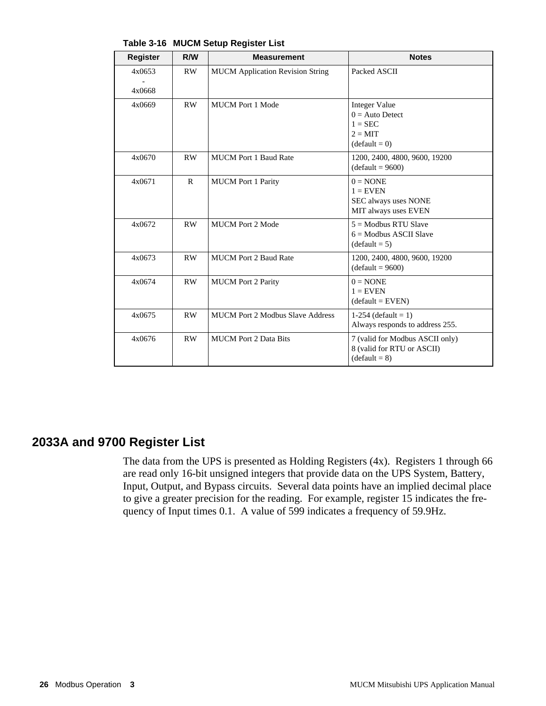| <b>Register</b>  | R/W          | <b>Measurement</b>                      | <b>Notes</b>                                                                                  |
|------------------|--------------|-----------------------------------------|-----------------------------------------------------------------------------------------------|
| 4x0653<br>4x0668 | RW           | <b>MUCM</b> Application Revision String | Packed ASCII                                                                                  |
| 4x0669           | <b>RW</b>    | <b>MUCM Port 1 Mode</b>                 | <b>Integer Value</b><br>$0 = Auto$ Detect<br>$1 = \text{SEC}$<br>$2 = MIT$<br>$(detault = 0)$ |
| 4x0670           | <b>RW</b>    | <b>MUCM Port 1 Baud Rate</b>            | 1200, 2400, 4800, 9600, 19200<br>$(detault = 9600)$                                           |
| 4x0671           | $\mathbb{R}$ | <b>MUCM</b> Port 1 Parity               | $0 = \text{NONE}$<br>$1 =$ EVEN<br>SEC always uses NONE<br>MIT always uses EVEN               |
| 4x0672           | <b>RW</b>    | <b>MUCM Port 2 Mode</b>                 | $5 =$ Modbus RTU Slave<br>$6 =$ Modbus ASCII Slave<br>$(default = 5)$                         |
| 4x0673           | RW.          | <b>MUCM Port 2 Baud Rate</b>            | 1200, 2400, 4800, 9600, 19200<br>$(detault = 9600)$                                           |
| 4x0674           | RW           | <b>MUCM</b> Port 2 Parity               | $0 = \text{NONE}$<br>$1 =$ EVEN<br>$(detault = EVEN)$                                         |
| 4x0675           | RW           | <b>MUCM Port 2 Modbus Slave Address</b> | 1-254 (default = 1)<br>Always responds to address 255.                                        |
| 4x0676           | <b>RW</b>    | <b>MUCM</b> Port 2 Data Bits            | 7 (valid for Modbus ASCII only)<br>8 (valid for RTU or ASCII)<br>$(default = 8)$              |

**Table 3-16 MUCM Setup Register List**

### **2033A and 9700 Register List**

The data from the UPS is presented as Holding Registers (4x). Registers 1 through 66 are read only 16-bit unsigned integers that provide data on the UPS System, Battery, Input, Output, and Bypass circuits. Several data points have an implied decimal place to give a greater precision for the reading. For example, register 15 indicates the frequency of Input times 0.1. A value of 599 indicates a frequency of 59.9Hz.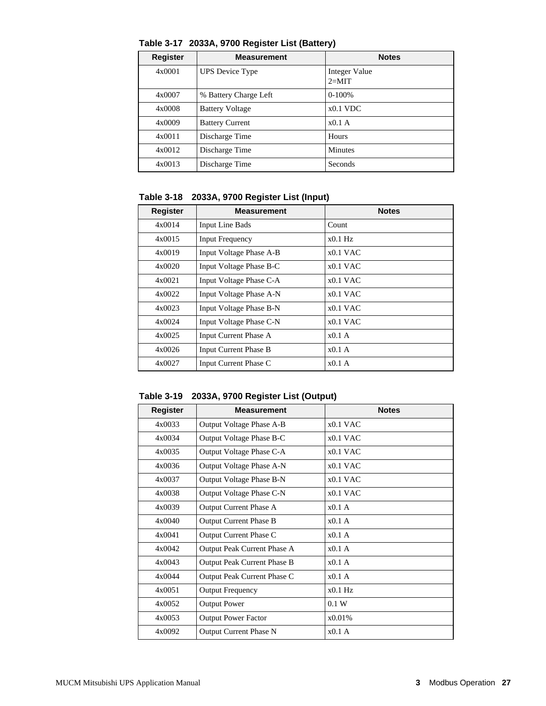| <b>Register</b> | <b>Measurement</b>     | <b>Notes</b>             |
|-----------------|------------------------|--------------------------|
| 4x0001          | <b>UPS</b> Device Type | Integer Value<br>$2=MIT$ |
| 4x0007          | % Battery Charge Left  | $0-100%$                 |
| 4x0008          | <b>Battery Voltage</b> | $x0.1$ VDC               |
| 4x0009          | <b>Battery Current</b> | x0.1A                    |
| 4x0011          | Discharge Time         | Hours                    |
| 4x0012          | Discharge Time         | <b>Minutes</b>           |
| 4x0013          | Discharge Time         | Seconds                  |

**Table 3-17 2033A, 9700 Register List (Battery)**

**Table 3-18 2033A, 9700 Register List (Input)**

| Register | <b>Measurement</b>           | <b>Notes</b> |
|----------|------------------------------|--------------|
| 4x0014   | <b>Input Line Bads</b>       | Count        |
| 4x0015   | <b>Input Frequency</b>       | $x0.1$ Hz    |
| 4x0019   | Input Voltage Phase A-B      | $x0.1$ VAC   |
| 4x0020   | Input Voltage Phase B-C      | $x0.1$ VAC   |
| 4x0021   | Input Voltage Phase C-A      | $x0.1$ VAC   |
| 4x0022   | Input Voltage Phase A-N      | $x0.1$ VAC   |
| 4x0023   | Input Voltage Phase B-N      | $x0.1$ VAC   |
| 4x0024   | Input Voltage Phase C-N      | $x0.1$ VAC   |
| 4x0025   | <b>Input Current Phase A</b> | $x0.1$ A     |
| 4x0026   | <b>Input Current Phase B</b> | $x0.1$ A     |
| 4x0027   | Input Current Phase C        | $x0.1$ A     |

**Table 3-19 2033A, 9700 Register List (Output)**

| <b>Register</b> | <b>Measurement</b>            | <b>Notes</b> |
|-----------------|-------------------------------|--------------|
| 4x0033          | Output Voltage Phase A-B      | $x0.1$ VAC   |
| 4x0034          | Output Voltage Phase B-C      | $x0.1$ VAC   |
| 4x0035          | Output Voltage Phase C-A      | $x0.1$ VAC   |
| 4x0036          | Output Voltage Phase A-N      | $x0.1$ VAC   |
| 4x0037          | Output Voltage Phase B-N      | $x0.1$ VAC   |
| 4x0038          | Output Voltage Phase C-N      | $x0.1$ VAC   |
| 4x0039          | Output Current Phase A        | $x0.1$ A     |
| 4x0040          | <b>Output Current Phase B</b> | $x0.1$ A     |
| 4x0041          | Output Current Phase C        | $x0.1$ A     |
| 4x0042          | Output Peak Current Phase A   | x0.1A        |
| 4x0043          | Output Peak Current Phase B   | $x0.1$ A     |
| 4x0044          | Output Peak Current Phase C   | x0.1A        |
| 4x0051          | <b>Output Frequency</b>       | $x0.1$ Hz    |
| 4x0052          | <b>Output Power</b>           | 0.1 W        |
| 4x0053          | <b>Output Power Factor</b>    | x0.01%       |
| 4x0092          | <b>Output Current Phase N</b> | $x0.1$ A     |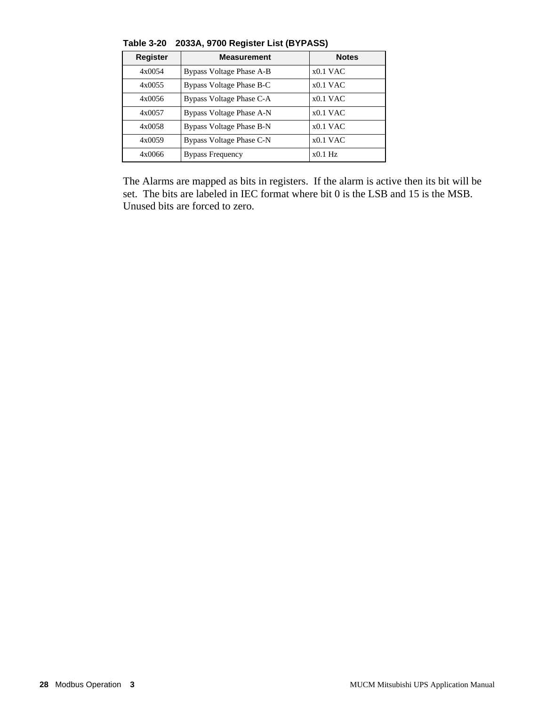| <b>Register</b> | <b>Measurement</b>       | <b>Notes</b> |
|-----------------|--------------------------|--------------|
| 4x0054          | Bypass Voltage Phase A-B | $x0.1$ VAC   |
| 4x0055          | Bypass Voltage Phase B-C | $x0.1$ VAC   |
| 4x0056          | Bypass Voltage Phase C-A | $x0.1$ VAC   |
| 4x0057          | Bypass Voltage Phase A-N | $x0.1$ VAC   |
| 4x0058          | Bypass Voltage Phase B-N | $x0.1$ VAC   |
| 4x0059          | Bypass Voltage Phase C-N | $x0.1$ VAC   |
| 4x0066          | <b>Bypass Frequency</b>  | $x0.1$ Hz    |

**Table 3-20 2033A, 9700 Register List (BYPASS)**

The Alarms are mapped as bits in registers. If the alarm is active then its bit will be set. The bits are labeled in IEC format where bit 0 is the LSB and 15 is the MSB. Unused bits are forced to zero.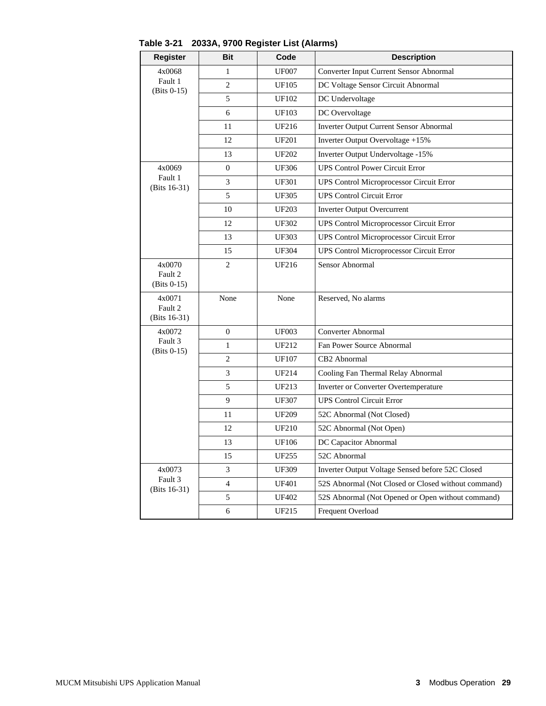| <b>Register</b>          | <b>Bit</b>     | Code         | <b>Description</b>                                  |  |
|--------------------------|----------------|--------------|-----------------------------------------------------|--|
| 4x0068                   | 1              | <b>UF007</b> | Converter Input Current Sensor Abnormal             |  |
| Fault 1<br>$(Bits 0-15)$ | 2              | <b>UF105</b> | DC Voltage Sensor Circuit Abnormal                  |  |
|                          | 5              | <b>UF102</b> | DC Undervoltage                                     |  |
|                          | 6              | <b>UF103</b> | DC Overvoltage                                      |  |
|                          | 11             | UF216        | <b>Inverter Output Current Sensor Abnormal</b>      |  |
|                          | 12             | <b>UF201</b> | Inverter Output Overvoltage +15%                    |  |
|                          | 13             | <b>UF202</b> | Inverter Output Undervoltage -15%                   |  |
| 4x0069                   | $\mathbf{0}$   | <b>UF306</b> | <b>UPS Control Power Circuit Error</b>              |  |
| Fault 1<br>(Bits 16-31)  | 3              | <b>UF301</b> | <b>UPS Control Microprocessor Circuit Error</b>     |  |
|                          | 5              | <b>UF305</b> | <b>UPS Control Circuit Error</b>                    |  |
|                          | 10             | <b>UF203</b> | <b>Inverter Output Overcurrent</b>                  |  |
|                          | 12             | <b>UF302</b> | UPS Control Microprocessor Circuit Error            |  |
|                          | 13             | <b>UF303</b> | <b>UPS Control Microprocessor Circuit Error</b>     |  |
|                          | 15             | <b>UF304</b> | <b>UPS Control Microprocessor Circuit Error</b>     |  |
| 4x0070                   | $\overline{c}$ | UF216        | Sensor Abnormal                                     |  |
| Fault 2<br>$(Bits 0-15)$ |                |              |                                                     |  |
| 4x0071                   | None           | None         | Reserved, No alarms                                 |  |
| Fault 2                  |                |              |                                                     |  |
| (Bits 16-31)             |                |              |                                                     |  |
| 4x0072<br>Fault 3        | $\overline{0}$ | <b>UF003</b> | Converter Abnormal                                  |  |
| $(Bits 0-15)$            | $\mathbf{1}$   | UF212        | Fan Power Source Abnormal                           |  |
|                          | $\overline{c}$ | <b>UF107</b> | CB <sub>2</sub> Abnormal                            |  |
|                          | 3              | UF214        | Cooling Fan Thermal Relay Abnormal                  |  |
|                          | 5              | UF213        | Inverter or Converter Overtemperature               |  |
|                          | 9              | <b>UF307</b> | <b>UPS Control Circuit Error</b>                    |  |
|                          | 11             | <b>UF209</b> | 52C Abnormal (Not Closed)                           |  |
|                          | 12             | <b>UF210</b> | 52C Abnormal (Not Open)                             |  |
|                          | 13             | <b>UF106</b> | DC Capacitor Abnormal                               |  |
|                          | 15             | <b>UF255</b> | 52C Abnormal                                        |  |
| 4x0073                   | 3              | UF309        | Inverter Output Voltage Sensed before 52C Closed    |  |
| Fault 3<br>(Bits 16-31)  | $\overline{4}$ | <b>UF401</b> | 52S Abnormal (Not Closed or Closed without command) |  |
|                          | 5              | <b>UF402</b> | 52S Abnormal (Not Opened or Open without command)   |  |
|                          | 6              | UF215        | Frequent Overload                                   |  |

**Table 3-21 2033A, 9700 Register List (Alarms)**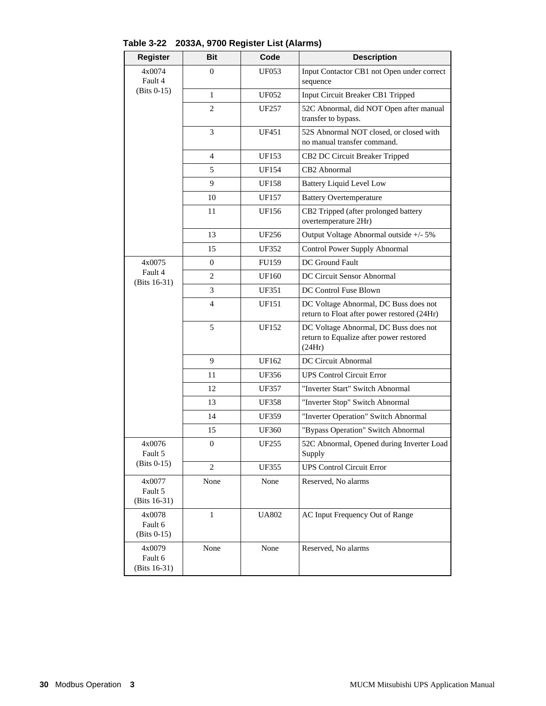| <b>Register</b>                    | <b>Bit</b>       | Code         | <b>Description</b>                                                                         |
|------------------------------------|------------------|--------------|--------------------------------------------------------------------------------------------|
| 4x0074<br>Fault 4                  | $\mathbf{0}$     | UF053        | Input Contactor CB1 not Open under correct<br>sequence                                     |
| $(Bits 0-15)$                      | 1                | <b>UF052</b> | Input Circuit Breaker CB1 Tripped                                                          |
|                                    | $\overline{c}$   | UF257        | 52C Abnormal, did NOT Open after manual<br>transfer to bypass.                             |
|                                    | 3                | UF451        | 52S Abnormal NOT closed, or closed with<br>no manual transfer command.                     |
|                                    | 4                | <b>UF153</b> | CB2 DC Circuit Breaker Tripped                                                             |
|                                    | 5                | UF154        | CB2 Abnormal                                                                               |
|                                    | 9                | <b>UF158</b> | <b>Battery Liquid Level Low</b>                                                            |
|                                    | 10               | UF157        | <b>Battery Overtemperature</b>                                                             |
|                                    | 11               | UF156        | CB2 Tripped (after prolonged battery<br>overtemperature 2Hr)                               |
|                                    | 13               | UF256        | Output Voltage Abnormal outside +/- 5%                                                     |
|                                    | 15               | <b>UF352</b> | Control Power Supply Abnormal                                                              |
| 4x0075                             | $\boldsymbol{0}$ | <b>FU159</b> | DC Ground Fault                                                                            |
| Fault 4<br>(Bits $16-31$ )         | 2                | UF160        | DC Circuit Sensor Abnormal                                                                 |
|                                    | 3                | <b>UF351</b> | DC Control Fuse Blown                                                                      |
|                                    | $\overline{4}$   | UF151        | DC Voltage Abnormal, DC Buss does not<br>return to Float after power restored (24Hr)       |
|                                    | 5                | UF152        | DC Voltage Abnormal, DC Buss does not<br>return to Equalize after power restored<br>(24Hr) |
|                                    | 9                | UF162        | DC Circuit Abnormal                                                                        |
|                                    | 11               | UF356        | <b>UPS Control Circuit Error</b>                                                           |
|                                    | 12               | UF357        | "Inverter Start" Switch Abnormal                                                           |
|                                    | 13               | <b>UF358</b> | "Inverter Stop" Switch Abnormal                                                            |
|                                    | 14               | UF359        | "Inverter Operation" Switch Abnormal                                                       |
|                                    | 15               | <b>UF360</b> | "Bypass Operation" Switch Abnormal                                                         |
| 4x0076<br>Fault 5                  | $\boldsymbol{0}$ | <b>UF255</b> | 52C Abnormal, Opened during Inverter Load<br>Supply                                        |
| $(Bits 0-15)$                      | 2                | <b>UF355</b> | <b>UPS Control Circuit Error</b>                                                           |
| 4x0077<br>Fault 5<br>(Bits 16-31)  | None             | None         | Reserved, No alarms                                                                        |
| 4x0078<br>Fault 6<br>$(Bits 0-15)$ | $\mathbf{1}$     | <b>UA802</b> | AC Input Frequency Out of Range                                                            |
| 4x0079<br>Fault 6<br>(Bits 16-31)  | None             | None         | Reserved, No alarms                                                                        |

**Table 3-22 2033A, 9700 Register List (Alarms)**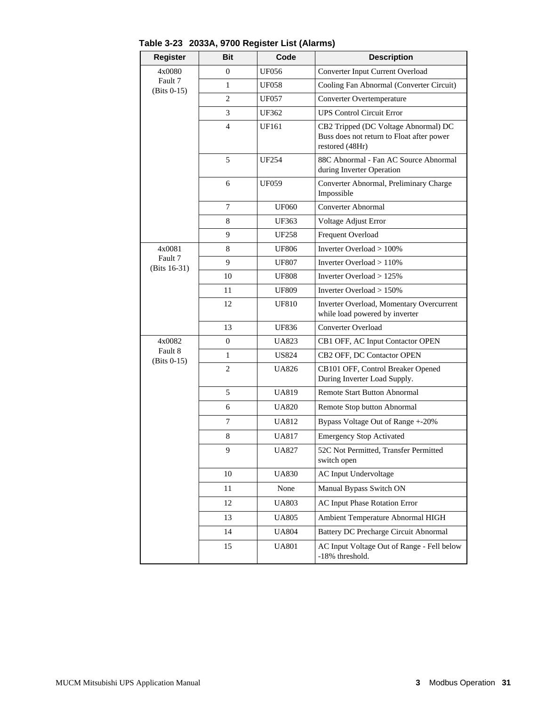| <b>Register</b>         | Bit            | Code         | <b>Description</b>                                                                                   |
|-------------------------|----------------|--------------|------------------------------------------------------------------------------------------------------|
| 4x0080                  | $\overline{0}$ | <b>UF056</b> | Converter Input Current Overload                                                                     |
| Fault 7<br>(Bits 0-15)  | $\mathbf{1}$   | <b>UF058</b> | Cooling Fan Abnormal (Converter Circuit)                                                             |
|                         | $\overline{c}$ | <b>UF057</b> | Converter Overtemperature                                                                            |
|                         | 3              | UF362        | <b>UPS Control Circuit Error</b>                                                                     |
|                         | 4              | UF161        | CB2 Tripped (DC Voltage Abnormal) DC<br>Buss does not return to Float after power<br>restored (48Hr) |
|                         | 5              | <b>UF254</b> | 88C Abnormal - Fan AC Source Abnormal<br>during Inverter Operation                                   |
|                         | 6              | UF059        | Converter Abnormal, Preliminary Charge<br>Impossible                                                 |
|                         | 7              | <b>UF060</b> | Converter Abnormal                                                                                   |
|                         | 8              | UF363        | Voltage Adjust Error                                                                                 |
|                         | 9              | <b>UF258</b> | Frequent Overload                                                                                    |
| 4x0081                  | 8              | <b>UF806</b> | Inverter Overload > 100%                                                                             |
| Fault 7<br>(Bits 16-31) | 9              | <b>UF807</b> | Inverter Overload $> 110\%$                                                                          |
|                         | 10             | <b>UF808</b> | Inverter Overload $>125\%$                                                                           |
|                         | 11             | <b>UF809</b> | Inverter Overload > 150%                                                                             |
|                         | 12             | <b>UF810</b> | Inverter Overload, Momentary Overcurrent<br>while load powered by inverter                           |
|                         | 13             | UF836        | Converter Overload                                                                                   |
| 4x0082                  | $\overline{0}$ | UA823        | CB1 OFF, AC Input Contactor OPEN                                                                     |
| Fault 8<br>(Bits 0-15)  | $\mathbf{1}$   | US824        | CB2 OFF, DC Contactor OPEN                                                                           |
|                         | $\overline{c}$ | UA826        | CB101 OFF, Control Breaker Opened<br>During Inverter Load Supply.                                    |
|                         | 5              | <b>UA819</b> | <b>Remote Start Button Abnormal</b>                                                                  |
|                         | 6              | <b>UA820</b> | Remote Stop button Abnormal                                                                          |
|                         | 7              | UA812        | Bypass Voltage Out of Range +-20%                                                                    |
|                         | 8              | <b>UA817</b> | <b>Emergency Stop Activated</b>                                                                      |
|                         | 9              | <b>UA827</b> | 52C Not Permitted, Transfer Permitted<br>switch open                                                 |
|                         | 10             | <b>UA830</b> | AC Input Undervoltage                                                                                |
|                         | 11             | None         | Manual Bypass Switch ON                                                                              |
|                         | 12             | UA803        | AC Input Phase Rotation Error                                                                        |
|                         | 13             | UA805        | Ambient Temperature Abnormal HIGH                                                                    |
|                         | 14             | <b>UA804</b> | <b>Battery DC Precharge Circuit Abnormal</b>                                                         |
|                         | 15             | <b>UA801</b> | AC Input Voltage Out of Range - Fell below<br>-18% threshold.                                        |

**Table 3-23 2033A, 9700 Register List (Alarms)**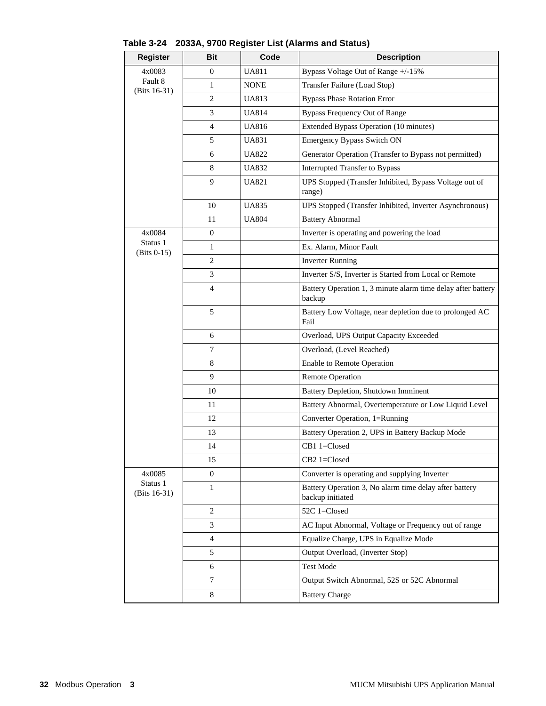| <b>Register</b>           | <b>Bit</b>     | Code         | <b>Description</b>                                                         |
|---------------------------|----------------|--------------|----------------------------------------------------------------------------|
| 4x0083                    | $\overline{0}$ | <b>UA811</b> | Bypass Voltage Out of Range +/-15%                                         |
| Fault 8<br>(Bits 16-31)   | $\mathbf{1}$   | <b>NONE</b>  | Transfer Failure (Load Stop)                                               |
|                           | $\overline{c}$ | <b>UA813</b> | <b>Bypass Phase Rotation Error</b>                                         |
|                           | 3              | <b>UA814</b> | <b>Bypass Frequency Out of Range</b>                                       |
|                           | 4              | <b>UA816</b> | Extended Bypass Operation (10 minutes)                                     |
|                           | 5              | <b>UA831</b> | Emergency Bypass Switch ON                                                 |
|                           | 6              | <b>UA822</b> | Generator Operation (Transfer to Bypass not permitted)                     |
|                           | 8              | <b>UA832</b> | Interrupted Transfer to Bypass                                             |
|                           | 9              | <b>UA821</b> | UPS Stopped (Transfer Inhibited, Bypass Voltage out of<br>range)           |
|                           | 10             | <b>UA835</b> | UPS Stopped (Transfer Inhibited, Inverter Asynchronous)                    |
|                           | 11             | <b>UA804</b> | <b>Battery Abnormal</b>                                                    |
| 4x0084                    | 0              |              | Inverter is operating and powering the load                                |
| Status 1<br>$(Bits 0-15)$ | $\mathbf{1}$   |              | Ex. Alarm, Minor Fault                                                     |
|                           | $\overline{2}$ |              | <b>Inverter Running</b>                                                    |
|                           | 3              |              | Inverter S/S, Inverter is Started from Local or Remote                     |
|                           | 4              |              | Battery Operation 1, 3 minute alarm time delay after battery<br>backup     |
|                           | 5              |              | Battery Low Voltage, near depletion due to prolonged AC<br>Fail            |
|                           | 6              |              | Overload, UPS Output Capacity Exceeded                                     |
|                           | 7              |              | Overload, (Level Reached)                                                  |
|                           | 8              |              | Enable to Remote Operation                                                 |
|                           | 9              |              | <b>Remote Operation</b>                                                    |
|                           | 10             |              | Battery Depletion, Shutdown Imminent                                       |
|                           | 11             |              | Battery Abnormal, Overtemperature or Low Liquid Level                      |
|                           | 12             |              | Converter Operation, 1=Running                                             |
|                           | 13             |              | Battery Operation 2, UPS in Battery Backup Mode                            |
|                           | 14             |              | CB1 1=Closed                                                               |
|                           | 15             |              | CB2 1=Closed                                                               |
| 4x0085                    | $\overline{0}$ |              | Converter is operating and supplying Inverter                              |
| Status 1<br>(Bits 16-31)  | $\mathbf{1}$   |              | Battery Operation 3, No alarm time delay after battery<br>backup initiated |
|                           | 2              |              | 52C 1=Closed                                                               |
|                           | 3              |              | AC Input Abnormal, Voltage or Frequency out of range                       |
|                           | 4              |              | Equalize Charge, UPS in Equalize Mode                                      |
|                           | 5              |              | Output Overload, (Inverter Stop)                                           |
|                           | 6              |              | <b>Test Mode</b>                                                           |
|                           | 7              |              | Output Switch Abnormal, 52S or 52C Abnormal                                |
|                           | 8              |              | <b>Battery Charge</b>                                                      |

### **Table 3-24 2033A, 9700 Register List (Alarms and Status)**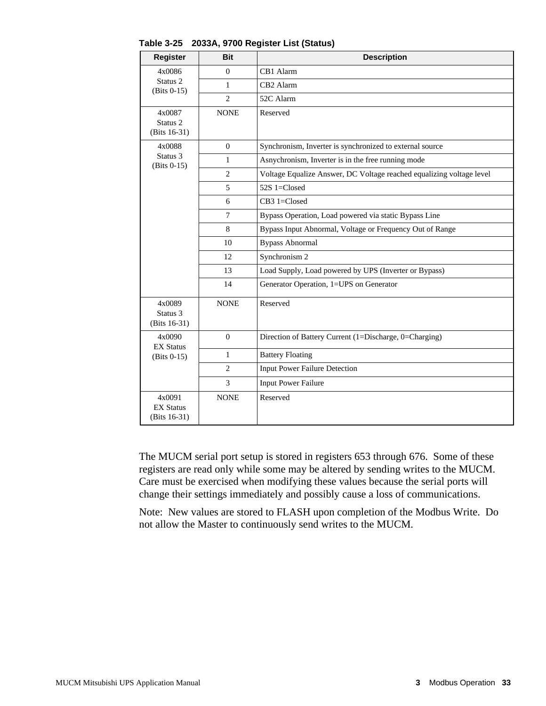| <b>Register</b>                                  | <b>Bit</b>     | <b>Description</b>                                                   |  |  |  |
|--------------------------------------------------|----------------|----------------------------------------------------------------------|--|--|--|
| 4x0086                                           | $\theta$       | CB1 Alarm                                                            |  |  |  |
| Status <sub>2</sub><br>$(Bits 0-15)$             | $\mathbf{1}$   | CB2 Alarm                                                            |  |  |  |
|                                                  | $\overline{c}$ | 52C Alarm                                                            |  |  |  |
| 4x0087<br>Status <sub>2</sub><br>(Bits $16-31$ ) | <b>NONE</b>    | Reserved                                                             |  |  |  |
| 4x0088                                           | $\overline{0}$ | Synchronism, Inverter is synchronized to external source             |  |  |  |
| Status 3<br>$(Bits 0-15)$                        | $\mathbf{1}$   | Asnychronism, Inverter is in the free running mode                   |  |  |  |
|                                                  | $\overline{2}$ | Voltage Equalize Answer, DC Voltage reached equalizing voltage level |  |  |  |
|                                                  | 5              | 52S 1=Closed                                                         |  |  |  |
|                                                  | 6              | CB3 1=Closed                                                         |  |  |  |
|                                                  | $\overline{7}$ | Bypass Operation, Load powered via static Bypass Line                |  |  |  |
|                                                  | 8              | Bypass Input Abnormal, Voltage or Frequency Out of Range             |  |  |  |
|                                                  | 10             | <b>Bypass Abnormal</b>                                               |  |  |  |
|                                                  | 12             | Synchronism 2                                                        |  |  |  |
|                                                  | 13             | Load Supply, Load powered by UPS (Inverter or Bypass)                |  |  |  |
|                                                  | 14             | Generator Operation, 1=UPS on Generator                              |  |  |  |
| 4x0089<br>Status 3<br>(Bits 16-31)               | <b>NONE</b>    | Reserved                                                             |  |  |  |
| 4x0090<br><b>EX Status</b>                       | $\overline{0}$ | Direction of Battery Current (1=Discharge, 0=Charging)               |  |  |  |
| $(Bits 0-15)$                                    | $\mathbf{1}$   | <b>Battery Floating</b>                                              |  |  |  |
|                                                  | $\mathbf{2}$   | <b>Input Power Failure Detection</b>                                 |  |  |  |
|                                                  | 3              | <b>Input Power Failure</b>                                           |  |  |  |
| 4x0091<br><b>EX Status</b><br>(Bits 16-31)       | <b>NONE</b>    | Reserved                                                             |  |  |  |

**Table 3-25 2033A, 9700 Register List (Status)**

The MUCM serial port setup is stored in registers 653 through 676. Some of these registers are read only while some may be altered by sending writes to the MUCM. Care must be exercised when modifying these values because the serial ports will change their settings immediately and possibly cause a loss of communications.

Note: New values are stored to FLASH upon completion of the Modbus Write. Do not allow the Master to continuously send writes to the MUCM.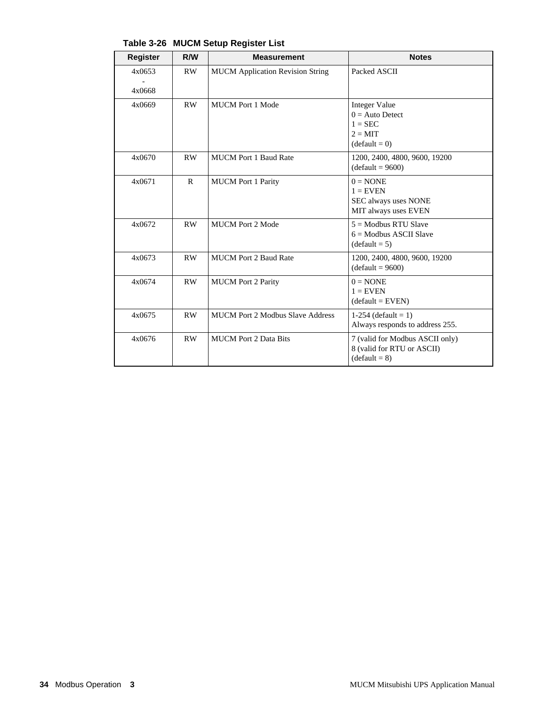| <b>Register</b>  | R/W          | <b>Measurement</b>                      | <b>Notes</b>                                                                                  |
|------------------|--------------|-----------------------------------------|-----------------------------------------------------------------------------------------------|
| 4x0653<br>4x0668 | RW           | <b>MUCM</b> Application Revision String | Packed ASCII                                                                                  |
| 4x0669           | RW           | <b>MUCM</b> Port 1 Mode                 | <b>Integer Value</b><br>$0 =$ Auto Detect<br>$1 = \text{SEC}$<br>$2 = MIT$<br>$(detault = 0)$ |
| 4x0670           | RW           | <b>MUCM Port 1 Baud Rate</b>            | 1200, 2400, 4800, 9600, 19200<br>$(default = 9600)$                                           |
| 4x0671           | $\mathbf{R}$ | <b>MUCM</b> Port 1 Parity               | $0 = \text{NONE}$<br>$1 =$ EVEN<br>SEC always uses NONE<br>MIT always uses EVEN               |
| 4x0672           | RW           | <b>MUCM</b> Port 2 Mode                 | $5 =$ Modbus RTU Slave<br>$6 =$ Modbus ASCII Slave<br>$(default = 5)$                         |
| 4x0673           | RW           | <b>MUCM Port 2 Baud Rate</b>            | 1200, 2400, 4800, 9600, 19200<br>$(default = 9600)$                                           |
| 4x0674           | RW           | <b>MUCM</b> Port 2 Parity               | $0 = \text{NONE}$<br>$1 =$ EVEN<br>$(default = EVEN)$                                         |
| 4x0675           | RW           | <b>MUCM Port 2 Modbus Slave Address</b> | 1-254 (default = 1)<br>Always responds to address 255.                                        |
| 4x0676           | <b>RW</b>    | <b>MUCM</b> Port 2 Data Bits            | 7 (valid for Modbus ASCII only)<br>8 (valid for RTU or ASCII)<br>$(default = 8)$              |

**Table 3-26 MUCM Setup Register List**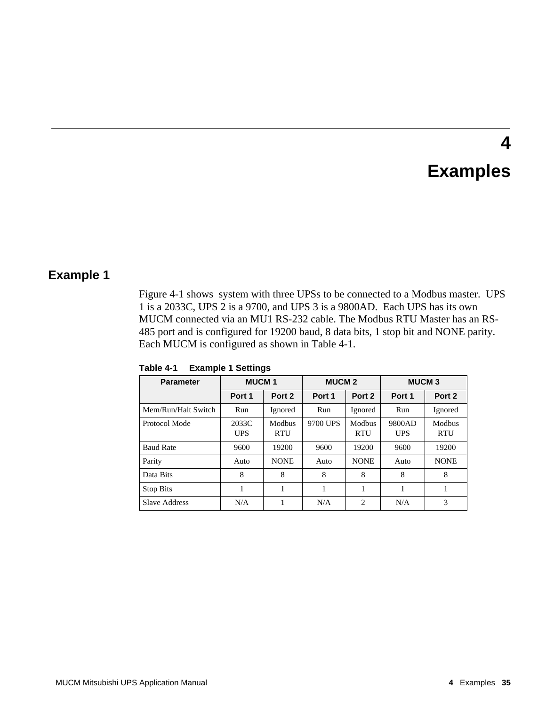# **Examples**

**4**

### **Example 1**

Figure 4-1 shows system with three UPSs to be connected to a Modbus master. UPS 1 is a 2033C, UPS 2 is a 9700, and UPS 3 is a 9800AD. Each UPS has its own MUCM connected via an MU1 RS-232 cable. The Modbus RTU Master has an RS-485 port and is configured for 19200 baud, 8 data bits, 1 stop bit and NONE parity. Each MUCM is configured as shown in Table 4-1.

| <b>Parameter</b>    | <b>MUCM1</b>        |                      |          | <b>MUCM 2</b>        |                      | <b>MUCM3</b>         |  |
|---------------------|---------------------|----------------------|----------|----------------------|----------------------|----------------------|--|
|                     | Port 1              | Port 2               | Port 1   | Port 2               | Port 1               | Port 2               |  |
| Mem/Run/Halt Switch | Run                 | Ignored              | Run      | Ignored              | Run                  | Ignored              |  |
| Protocol Mode       | 2033C<br><b>UPS</b> | Modbus<br><b>RTU</b> | 9700 UPS | Modbus<br><b>RTU</b> | 9800AD<br><b>UPS</b> | Modbus<br><b>RTU</b> |  |
| <b>Baud Rate</b>    | 9600                | 19200                | 9600     | 19200                | 9600                 | 19200                |  |
| Parity              | Auto                | <b>NONE</b>          | Auto     | <b>NONE</b>          | Auto                 | <b>NONE</b>          |  |
| Data Bits           | 8                   | 8                    | 8        | 8                    | 8                    | 8                    |  |
| <b>Stop Bits</b>    |                     |                      |          |                      |                      |                      |  |
| Slave Address       | N/A                 |                      | N/A      | $\overline{c}$       | N/A                  | 3                    |  |

**Table 4-1 Example 1 Settings**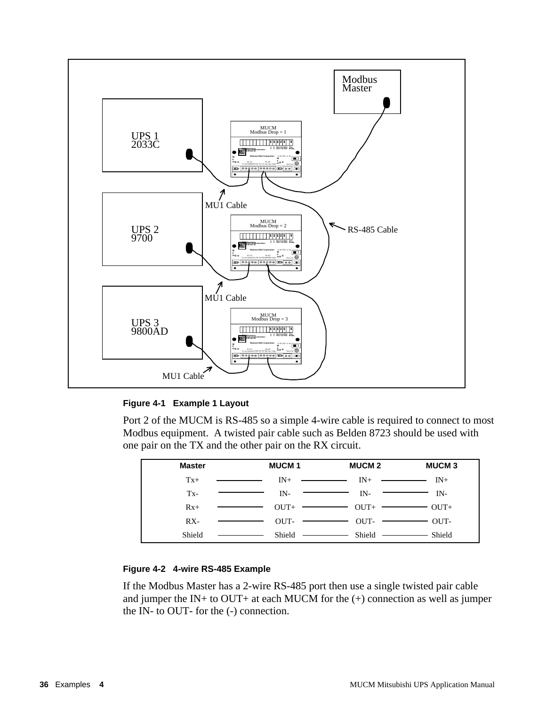

### **Figure 4-1 Example 1 Layout**

Port 2 of the MUCM is RS-485 so a simple 4-wire cable is required to connect to most Modbus equipment. A twisted pair cable such as Belden 8723 should be used with one pair on the TX and the other pair on the RX circuit.

| <b>Master</b> | <b>MUCM1</b>                                                                                                                                                                                                                                  | <b>MUCM 2</b>                                                                                                                                                                                                                                                                                                                                                                                                                                                                               | <b>MUCM3</b> |
|---------------|-----------------------------------------------------------------------------------------------------------------------------------------------------------------------------------------------------------------------------------------------|---------------------------------------------------------------------------------------------------------------------------------------------------------------------------------------------------------------------------------------------------------------------------------------------------------------------------------------------------------------------------------------------------------------------------------------------------------------------------------------------|--------------|
| $Tx+$         | $IN+$<br><u> The Communication of the Communication of the Communication of the Communication of the Communication of the Communication of the Communication of the Communication of the Communication of the Communication of the Commun</u> | $IN^+$ $\longrightarrow$ $IN^+$<br><u> The Communication of the Communication of the Communication of the Communication of the Communication of the Communication of the Communication of the Communication of the Communication of the Communication of the Commun</u>                                                                                                                                                                                                                     |              |
| $Tx -$        | $IN-$                                                                                                                                                                                                                                         | IN-<br>$\begin{tabular}{lllllllllll} \toprule \multicolumn{1}{l}{} & \multicolumn{1}{l}{} & \multicolumn{1}{l}{} & \multicolumn{1}{l}{} & \multicolumn{1}{l}{} & \multicolumn{1}{l}{} & \multicolumn{1}{l}{} & \multicolumn{1}{l}{} & \multicolumn{1}{l}{} & \multicolumn{1}{l}{} & \multicolumn{1}{l}{} & \multicolumn{1}{l}{} & \multicolumn{1}{l}{} & \multicolumn{1}{l}{} & \multicolumn{1}{l}{} & \multicolumn{1}{l}{} & \multicolumn{1}{l}{} & \multicolumn{1}{l}{} & \multicolumn{1$ | IN-          |
| $Rx+$         |                                                                                                                                                                                                                                               | $OUT+$ $OUT+$ $OUT+$ $---$                                                                                                                                                                                                                                                                                                                                                                                                                                                                  | $OUT+$       |
| $RX -$        | $\overline{\phantom{a}}$ . The contract of $\overline{\phantom{a}}$                                                                                                                                                                           | $OUT OUT OUT-$                                                                                                                                                                                                                                                                                                                                                                                                                                                                              | OUT-         |
| Shield        | and the contract of the contract of                                                                                                                                                                                                           |                                                                                                                                                                                                                                                                                                                                                                                                                                                                                             | Shield       |

### **Figure 4-2 4-wire RS-485 Example**

If the Modbus Master has a 2-wire RS-485 port then use a single twisted pair cable and jumper the IN+ to OUT+ at each MUCM for the  $(+)$  connection as well as jumper the IN- to OUT- for the (-) connection.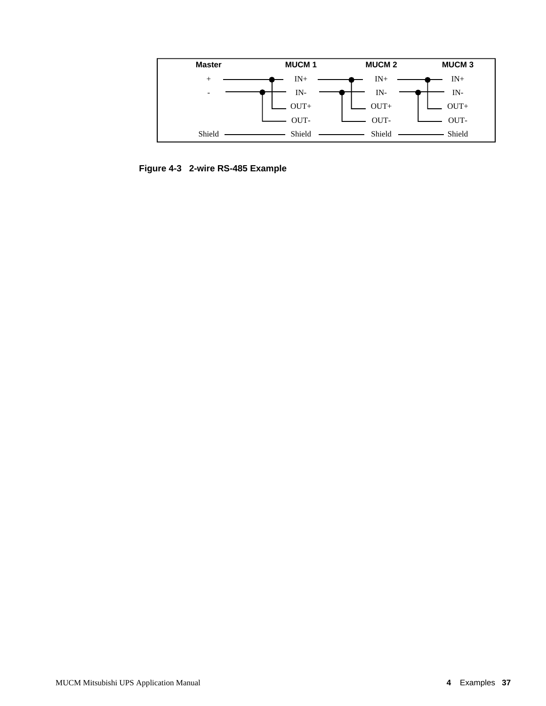

**Figure 4-3 2-wire RS-485 Example**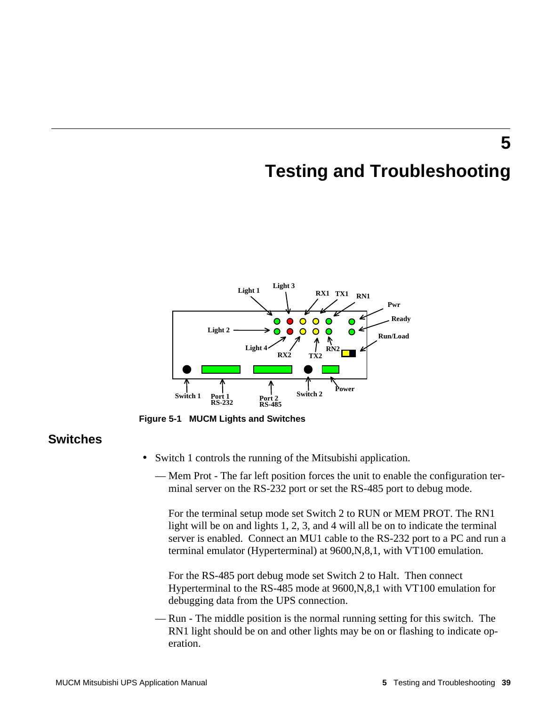### **5 Testing and Troubleshooting**



**Figure 5-1 MUCM Lights and Switches**

### **Switches**

- Switch 1 controls the running of the Mitsubishi application.
	- Mem Prot The far left position forces the unit to enable the configuration terminal server on the RS-232 port or set the RS-485 port to debug mode.

For the terminal setup mode set Switch 2 to RUN or MEM PROT. The RN1 light will be on and lights 1, 2, 3, and 4 will all be on to indicate the terminal server is enabled. Connect an MU1 cable to the RS-232 port to a PC and run a terminal emulator (Hyperterminal) at 9600,N,8,1, with VT100 emulation.

For the RS-485 port debug mode set Switch 2 to Halt. Then connect Hyperterminal to the RS-485 mode at 9600,N,8,1 with VT100 emulation for debugging data from the UPS connection.

— Run - The middle position is the normal running setting for this switch. The RN1 light should be on and other lights may be on or flashing to indicate operation.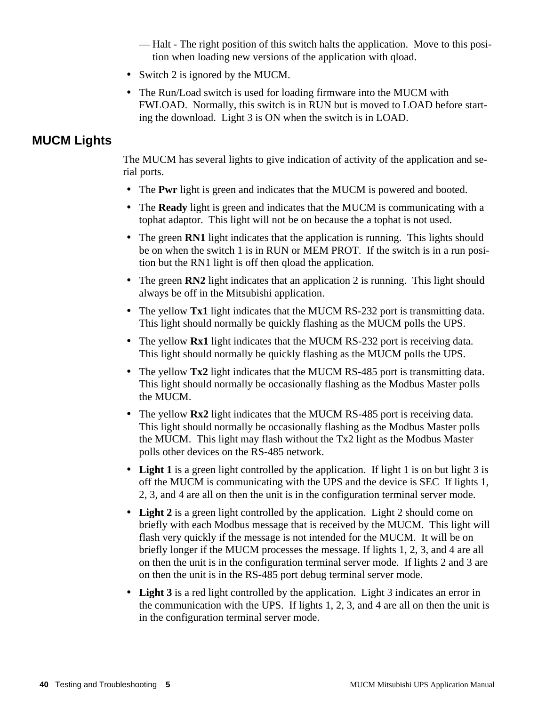— Halt - The right position of this switch halts the application. Move to this position when loading new versions of the application with qload.

- Switch 2 is ignored by the MUCM.
- The Run/Load switch is used for loading firmware into the MUCM with FWLOAD. Normally, this switch is in RUN but is moved to LOAD before starting the download. Light 3 is ON when the switch is in LOAD.

### **MUCM Lights**

The MUCM has several lights to give indication of activity of the application and serial ports.

- The **Pwr** light is green and indicates that the MUCM is powered and booted.
- The **Ready** light is green and indicates that the MUCM is communicating with a tophat adaptor. This light will not be on because the a tophat is not used.
- The green **RN1** light indicates that the application is running. This lights should be on when the switch 1 is in RUN or MEM PROT. If the switch is in a run position but the RN1 light is off then qload the application.
- The green **RN2** light indicates that an application 2 is running. This light should always be off in the Mitsubishi application.
- The yellow **Tx1** light indicates that the MUCM RS-232 port is transmitting data. This light should normally be quickly flashing as the MUCM polls the UPS.
- The yellow **Rx1** light indicates that the MUCM RS-232 port is receiving data. This light should normally be quickly flashing as the MUCM polls the UPS.
- The yellow **Tx2** light indicates that the MUCM RS-485 port is transmitting data. This light should normally be occasionally flashing as the Modbus Master polls the MUCM.
- The yellow **Rx2** light indicates that the MUCM RS-485 port is receiving data. This light should normally be occasionally flashing as the Modbus Master polls the MUCM. This light may flash without the Tx2 light as the Modbus Master polls other devices on the RS-485 network.
- Light 1 is a green light controlled by the application. If light 1 is on but light 3 is off the MUCM is communicating with the UPS and the device is SEC If lights 1, 2, 3, and 4 are all on then the unit is in the configuration terminal server mode.
- **Light 2** is a green light controlled by the application. Light 2 should come on briefly with each Modbus message that is received by the MUCM. This light will flash very quickly if the message is not intended for the MUCM. It will be on briefly longer if the MUCM processes the message. If lights 1, 2, 3, and 4 are all on then the unit is in the configuration terminal server mode. If lights 2 and 3 are on then the unit is in the RS-485 port debug terminal server mode.
- **Light 3** is a red light controlled by the application. Light 3 indicates an error in the communication with the UPS. If lights 1, 2, 3, and 4 are all on then the unit is in the configuration terminal server mode.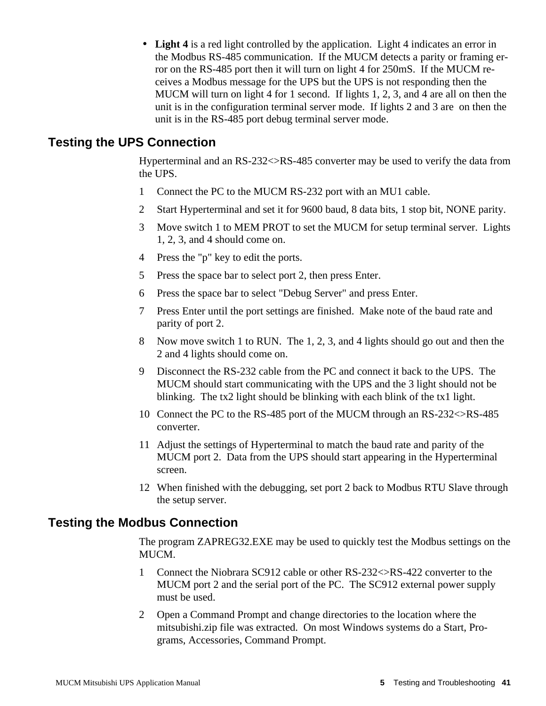• **Light 4** is a red light controlled by the application. Light 4 indicates an error in the Modbus RS-485 communication. If the MUCM detects a parity or framing error on the RS-485 port then it will turn on light 4 for 250mS. If the MUCM receives a Modbus message for the UPS but the UPS is not responding then the MUCM will turn on light 4 for 1 second. If lights 1, 2, 3, and 4 are all on then the unit is in the configuration terminal server mode. If lights 2 and 3 are on then the unit is in the RS-485 port debug terminal server mode.

### **Testing the UPS Connection**

Hyperterminal and an RS-232<>RS-485 converter may be used to verify the data from the UPS.

- 1 Connect the PC to the MUCM RS-232 port with an MU1 cable.
- 2 Start Hyperterminal and set it for 9600 baud, 8 data bits, 1 stop bit, NONE parity.
- 3 Move switch 1 to MEM PROT to set the MUCM for setup terminal server. Lights 1, 2, 3, and 4 should come on.
- 4 Press the "p" key to edit the ports.
- 5 Press the space bar to select port 2, then press Enter.
- 6 Press the space bar to select "Debug Server" and press Enter.
- 7 Press Enter until the port settings are finished. Make note of the baud rate and parity of port 2.
- 8 Now move switch 1 to RUN. The 1, 2, 3, and 4 lights should go out and then the 2 and 4 lights should come on.
- 9 Disconnect the RS-232 cable from the PC and connect it back to the UPS. The MUCM should start communicating with the UPS and the 3 light should not be blinking. The tx2 light should be blinking with each blink of the tx1 light.
- 10 Connect the PC to the RS-485 port of the MUCM through an RS-232<>RS-485 converter.
- 11 Adjust the settings of Hyperterminal to match the baud rate and parity of the MUCM port 2. Data from the UPS should start appearing in the Hyperterminal screen.
- 12 When finished with the debugging, set port 2 back to Modbus RTU Slave through the setup server.

### **Testing the Modbus Connection**

The program ZAPREG32.EXE may be used to quickly test the Modbus settings on the MUCM.

- 1 Connect the Niobrara SC912 cable or other RS-232<>RS-422 converter to the MUCM port 2 and the serial port of the PC. The SC912 external power supply must be used.
- 2 Open a Command Prompt and change directories to the location where the mitsubishi.zip file was extracted. On most Windows systems do a Start, Programs, Accessories, Command Prompt.